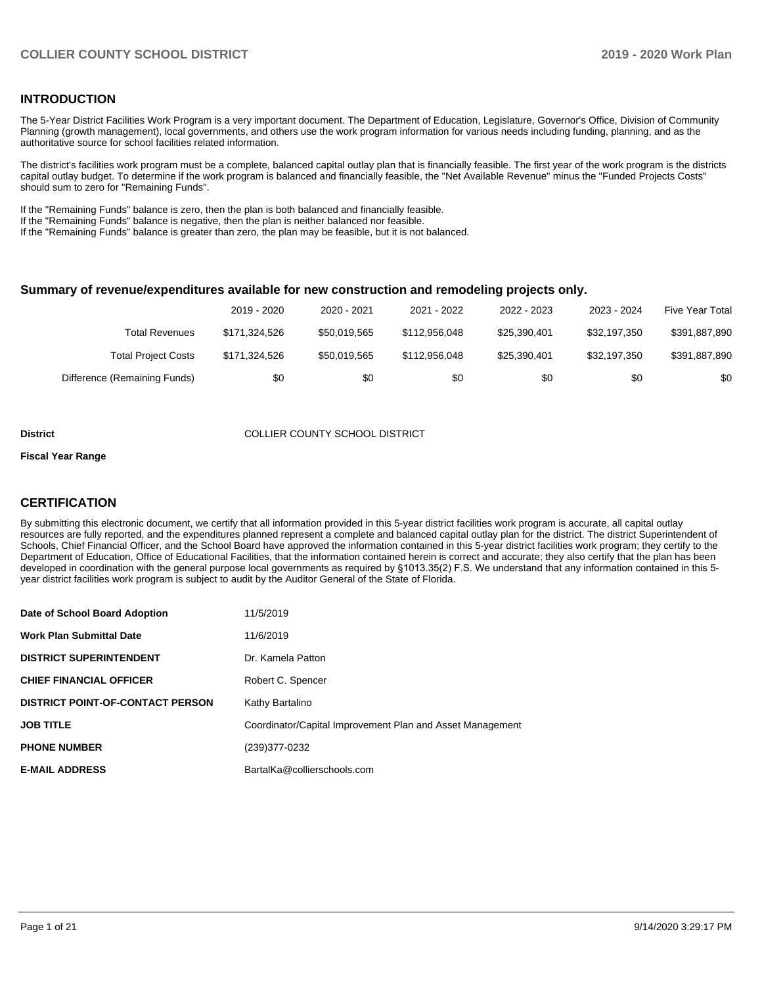#### **INTRODUCTION**

The 5-Year District Facilities Work Program is a very important document. The Department of Education, Legislature, Governor's Office, Division of Community Planning (growth management), local governments, and others use the work program information for various needs including funding, planning, and as the authoritative source for school facilities related information.

The district's facilities work program must be a complete, balanced capital outlay plan that is financially feasible. The first year of the work program is the districts capital outlay budget. To determine if the work program is balanced and financially feasible, the "Net Available Revenue" minus the "Funded Projects Costs" should sum to zero for "Remaining Funds".

If the "Remaining Funds" balance is zero, then the plan is both balanced and financially feasible.

If the "Remaining Funds" balance is negative, then the plan is neither balanced nor feasible.

If the "Remaining Funds" balance is greater than zero, the plan may be feasible, but it is not balanced.

#### **Summary of revenue/expenditures available for new construction and remodeling projects only.**

|                              | 2019 - 2020   | 2020 - 2021  | 2021 - 2022   | 2022 - 2023  | 2023 - 2024  | <b>Five Year Total</b> |
|------------------------------|---------------|--------------|---------------|--------------|--------------|------------------------|
| Total Revenues               | \$171.324.526 | \$50.019.565 | \$112,956,048 | \$25.390.401 | \$32.197.350 | \$391,887,890          |
| <b>Total Project Costs</b>   | \$171.324.526 | \$50,019.565 | \$112,956,048 | \$25.390.401 | \$32.197.350 | \$391,887,890          |
| Difference (Remaining Funds) | \$0           | \$0          | \$0           | \$0          | \$0          | \$0                    |

#### **District COLLIER COUNTY SCHOOL DISTRICT**

#### **Fiscal Year Range**

### **CERTIFICATION**

By submitting this electronic document, we certify that all information provided in this 5-year district facilities work program is accurate, all capital outlay resources are fully reported, and the expenditures planned represent a complete and balanced capital outlay plan for the district. The district Superintendent of Schools, Chief Financial Officer, and the School Board have approved the information contained in this 5-year district facilities work program; they certify to the Department of Education, Office of Educational Facilities, that the information contained herein is correct and accurate; they also certify that the plan has been developed in coordination with the general purpose local governments as required by §1013.35(2) F.S. We understand that any information contained in this 5 year district facilities work program is subject to audit by the Auditor General of the State of Florida.

| Date of School Board Adoption           | 11/5/2019                                                 |
|-----------------------------------------|-----------------------------------------------------------|
| Work Plan Submittal Date                | 11/6/2019                                                 |
| <b>DISTRICT SUPERINTENDENT</b>          | Dr. Kamela Patton                                         |
| <b>CHIEF FINANCIAL OFFICER</b>          | Robert C. Spencer                                         |
| <b>DISTRICT POINT-OF-CONTACT PERSON</b> | Kathy Bartalino                                           |
| JOB TITLE                               | Coordinator/Capital Improvement Plan and Asset Management |
| <b>PHONE NUMBER</b>                     | (239)377-0232                                             |
| <b>E-MAIL ADDRESS</b>                   | BartalKa@collierschools.com                               |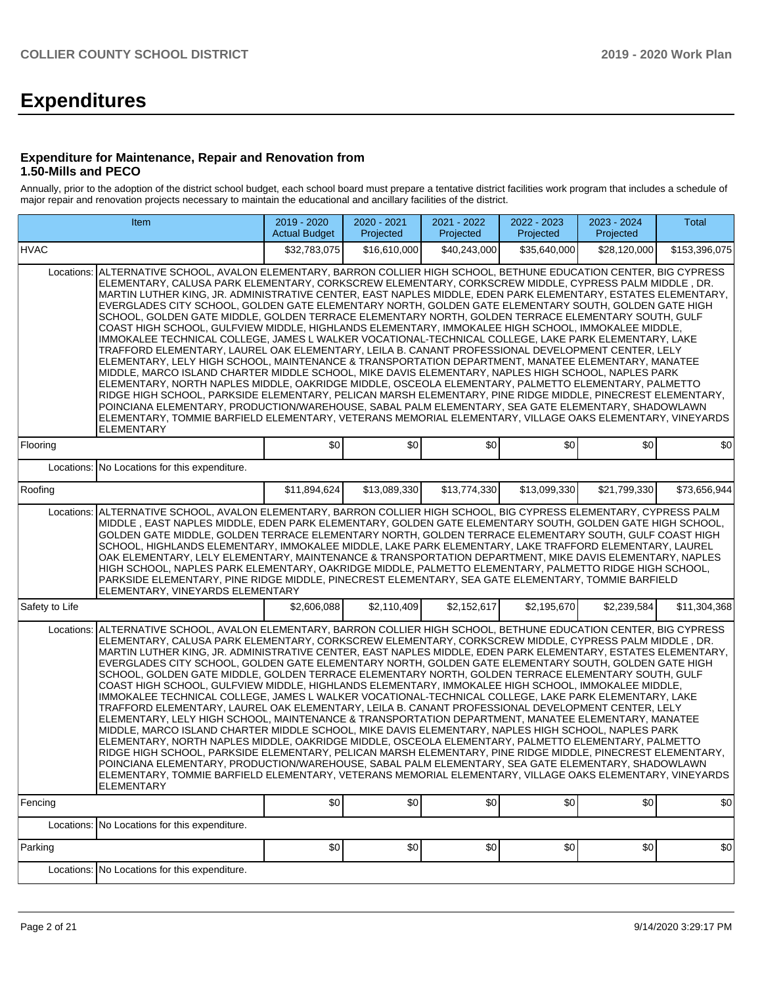# **Expenditures**

#### **Expenditure for Maintenance, Repair and Renovation from 1.50-Mills and PECO**

Annually, prior to the adoption of the district school budget, each school board must prepare a tentative district facilities work program that includes a schedule of major repair and renovation projects necessary to maintain the educational and ancillary facilities of the district.

|                | Item                                                                                                                                                                                                                                                                                                                                                                                                                                                                                                                                                                                                                                                                                                                                                                                                                                                                                                                                                                                                                                                                                                                                                                                                                                                                                                                                                                                                                                                                                                                                                                         | 2019 - 2020<br><b>Actual Budget</b> | 2020 - 2021<br>Projected | 2021 - 2022<br>Projected | 2022 - 2023<br>Projected | 2023 - 2024<br>Projected | <b>Total</b>  |  |  |  |
|----------------|------------------------------------------------------------------------------------------------------------------------------------------------------------------------------------------------------------------------------------------------------------------------------------------------------------------------------------------------------------------------------------------------------------------------------------------------------------------------------------------------------------------------------------------------------------------------------------------------------------------------------------------------------------------------------------------------------------------------------------------------------------------------------------------------------------------------------------------------------------------------------------------------------------------------------------------------------------------------------------------------------------------------------------------------------------------------------------------------------------------------------------------------------------------------------------------------------------------------------------------------------------------------------------------------------------------------------------------------------------------------------------------------------------------------------------------------------------------------------------------------------------------------------------------------------------------------------|-------------------------------------|--------------------------|--------------------------|--------------------------|--------------------------|---------------|--|--|--|
| <b>HVAC</b>    |                                                                                                                                                                                                                                                                                                                                                                                                                                                                                                                                                                                                                                                                                                                                                                                                                                                                                                                                                                                                                                                                                                                                                                                                                                                                                                                                                                                                                                                                                                                                                                              | \$32,783,075                        | \$16,610,000             | \$40,243,000             | \$35.640.000             | \$28,120,000             | \$153,396,075 |  |  |  |
| Locations:     | ALTERNATIVE SCHOOL, AVALON ELEMENTARY, BARRON COLLIER HIGH SCHOOL, BETHUNE EDUCATION CENTER, BIG CYPRESS<br>ELEMENTARY, CALUSA PARK ELEMENTARY, CORKSCREW ELEMENTARY, CORKSCREW MIDDLE, CYPRESS PALM MIDDLE, DR.<br>MARTIN LUTHER KING, JR. ADMINISTRATIVE CENTER, EAST NAPLES MIDDLE, EDEN PARK ELEMENTARY, ESTATES ELEMENTARY,<br>EVERGLADES CITY SCHOOL, GOLDEN GATE ELEMENTARY NORTH, GOLDEN GATE ELEMENTARY SOUTH, GOLDEN GATE HIGH<br>SCHOOL, GOLDEN GATE MIDDLE, GOLDEN TERRACE ELEMENTARY NORTH, GOLDEN TERRACE ELEMENTARY SOUTH, GULF<br>COAST HIGH SCHOOL, GULFVIEW MIDDLE, HIGHLANDS ELEMENTARY, IMMOKALEE HIGH SCHOOL, IMMOKALEE MIDDLE,<br>IMMOKALEE TECHNICAL COLLEGE, JAMES L WALKER VOCATIONAL-TECHNICAL COLLEGE, LAKE PARK ELEMENTARY, LAKE<br>TRAFFORD ELEMENTARY, LAUREL OAK ELEMENTARY, LEILA B. CANANT PROFESSIONAL DEVELOPMENT CENTER, LELY<br>ELEMENTARY, LELY HIGH SCHOOL, MAINTENANCE & TRANSPORTATION DEPARTMENT, MANATEE ELEMENTARY, MANATEE<br>MIDDLE, MARCO ISLAND CHARTER MIDDLE SCHOOL, MIKE DAVIS ELEMENTARY, NAPLES HIGH SCHOOL, NAPLES PARK<br>ELEMENTARY, NORTH NAPLES MIDDLE, OAKRIDGE MIDDLE, OSCEOLA ELEMENTARY, PALMETTO ELEMENTARY, PALMETTO<br>RIDGE HIGH SCHOOL, PARKSIDE ELEMENTARY, PELICAN MARSH ELEMENTARY, PINE RIDGE MIDDLE, PINECREST ELEMENTARY,<br>POINCIANA ELEMENTARY, PRODUCTION/WAREHOUSE, SABAL PALM ELEMENTARY, SEA GATE ELEMENTARY, SHADOWLAWN<br>ELEMENTARY, TOMMIE BARFIELD ELEMENTARY, VETERANS MEMORIAL ELEMENTARY, VILLAGE OAKS ELEMENTARY, VINEYARDS<br>ELEMENTARY<br>\$0<br>\$0<br>\$0<br>\$0<br>\$0<br>\$0 |                                     |                          |                          |                          |                          |               |  |  |  |
| Flooring       | Locations: No Locations for this expenditure.                                                                                                                                                                                                                                                                                                                                                                                                                                                                                                                                                                                                                                                                                                                                                                                                                                                                                                                                                                                                                                                                                                                                                                                                                                                                                                                                                                                                                                                                                                                                |                                     |                          |                          |                          |                          |               |  |  |  |
| Roofing        |                                                                                                                                                                                                                                                                                                                                                                                                                                                                                                                                                                                                                                                                                                                                                                                                                                                                                                                                                                                                                                                                                                                                                                                                                                                                                                                                                                                                                                                                                                                                                                              | \$11,894,624                        | \$13,089,330             | \$13,774,330             | \$13,099,330             | \$21,799,330             | \$73,656,944  |  |  |  |
| Locations:     | ALTERNATIVE SCHOOL, AVALON ELEMENTARY, BARRON COLLIER HIGH SCHOOL, BIG CYPRESS ELEMENTARY, CYPRESS PALM<br>MIDDLE, EAST NAPLES MIDDLE, EDEN PARK ELEMENTARY, GOLDEN GATE ELEMENTARY SOUTH, GOLDEN GATE HIGH SCHOOL,<br>GOLDEN GATE MIDDLE, GOLDEN TERRACE ELEMENTARY NORTH, GOLDEN TERRACE ELEMENTARY SOUTH, GULF COAST HIGH<br>SCHOOL, HIGHLANDS ELEMENTARY, IMMOKALEE MIDDLE, LAKE PARK ELEMENTARY, LAKE TRAFFORD ELEMENTARY, LAUREL<br>OAK ELEMENTARY, LELY ELEMENTARY, MAINTENANCE & TRANSPORTATION DEPARTMENT, MIKE DAVIS ELEMENTARY, NAPLES<br>HIGH SCHOOL, NAPLES PARK ELEMENTARY, OAKRIDGE MIDDLE, PALMETTO ELEMENTARY, PALMETTO RIDGE HIGH SCHOOL,<br>PARKSIDE ELEMENTARY, PINE RIDGE MIDDLE, PINECREST ELEMENTARY, SEA GATE ELEMENTARY, TOMMIE BARFIELD<br>ELEMENTARY, VINEYARDS ELEMENTARY                                                                                                                                                                                                                                                                                                                                                                                                                                                                                                                                                                                                                                                                                                                                                                        |                                     |                          |                          |                          |                          |               |  |  |  |
| Safety to Life |                                                                                                                                                                                                                                                                                                                                                                                                                                                                                                                                                                                                                                                                                                                                                                                                                                                                                                                                                                                                                                                                                                                                                                                                                                                                                                                                                                                                                                                                                                                                                                              | \$2,606,088                         | \$2,110,409              | \$2,152,617              | \$2,195,670              | \$2,239,584              | \$11,304,368  |  |  |  |
| Locations:     | ALTERNATIVE SCHOOL, AVALON ELEMENTARY, BARRON COLLIER HIGH SCHOOL, BETHUNE EDUCATION CENTER, BIG CYPRESS<br>ELEMENTARY, CALUSA PARK ELEMENTARY, CORKSCREW ELEMENTARY, CORKSCREW MIDDLE, CYPRESS PALM MIDDLE, DR.<br>MARTIN LUTHER KING, JR. ADMINISTRATIVE CENTER, EAST NAPLES MIDDLE, EDEN PARK ELEMENTARY, ESTATES ELEMENTARY,<br>EVERGLADES CITY SCHOOL, GOLDEN GATE ELEMENTARY NORTH, GOLDEN GATE ELEMENTARY SOUTH, GOLDEN GATE HIGH<br>SCHOOL, GOLDEN GATE MIDDLE, GOLDEN TERRACE ELEMENTARY NORTH, GOLDEN TERRACE ELEMENTARY SOUTH, GULF<br>COAST HIGH SCHOOL, GULFVIEW MIDDLE, HIGHLANDS ELEMENTARY, IMMOKALEE HIGH SCHOOL, IMMOKALEE MIDDLE,<br>IMMOKALEE TECHNICAL COLLEGE, JAMES L WALKER VOCATIONAL-TECHNICAL COLLEGE, LAKE PARK ELEMENTARY, LAKE<br>TRAFFORD ELEMENTARY, LAUREL OAK ELEMENTARY, LEILA B. CANANT PROFESSIONAL DEVELOPMENT CENTER, LELY<br>ELEMENTARY, LELY HIGH SCHOOL, MAINTENANCE & TRANSPORTATION DEPARTMENT, MANATEE ELEMENTARY, MANATEE<br>MIDDLE, MARCO ISLAND CHARTER MIDDLE SCHOOL, MIKE DAVIS ELEMENTARY, NAPLES HIGH SCHOOL, NAPLES PARK<br>ELEMENTARY, NORTH NAPLES MIDDLE, OAKRIDGE MIDDLE, OSCEOLA ELEMENTARY, PALMETTO ELEMENTARY, PALMETTO<br>RIDGE HIGH SCHOOL, PARKSIDE ELEMENTARY, PELICAN MARSH ELEMENTARY, PINE RIDGE MIDDLE, PINECREST ELEMENTARY,<br>POINCIANA ELEMENTARY, PRODUCTION/WAREHOUSE, SABAL PALM ELEMENTARY, SEA GATE ELEMENTARY, SHADOWLAWN<br>ELEMENTARY, TOMMIE BARFIELD ELEMENTARY, VETERANS MEMORIAL ELEMENTARY, VILLAGE OAKS ELEMENTARY, VINEYARDS<br>ELEMENTARY                                           |                                     |                          |                          |                          |                          |               |  |  |  |
| Fencing        |                                                                                                                                                                                                                                                                                                                                                                                                                                                                                                                                                                                                                                                                                                                                                                                                                                                                                                                                                                                                                                                                                                                                                                                                                                                                                                                                                                                                                                                                                                                                                                              | \$0                                 | \$0                      | \$0                      | \$0                      | \$0                      | \$0           |  |  |  |
|                | Locations: No Locations for this expenditure.                                                                                                                                                                                                                                                                                                                                                                                                                                                                                                                                                                                                                                                                                                                                                                                                                                                                                                                                                                                                                                                                                                                                                                                                                                                                                                                                                                                                                                                                                                                                |                                     |                          |                          |                          |                          |               |  |  |  |
| Parking        |                                                                                                                                                                                                                                                                                                                                                                                                                                                                                                                                                                                                                                                                                                                                                                                                                                                                                                                                                                                                                                                                                                                                                                                                                                                                                                                                                                                                                                                                                                                                                                              | \$0                                 | \$0                      | \$0                      | \$0                      | \$0                      | \$0           |  |  |  |
|                | Locations: No Locations for this expenditure.                                                                                                                                                                                                                                                                                                                                                                                                                                                                                                                                                                                                                                                                                                                                                                                                                                                                                                                                                                                                                                                                                                                                                                                                                                                                                                                                                                                                                                                                                                                                |                                     |                          |                          |                          |                          |               |  |  |  |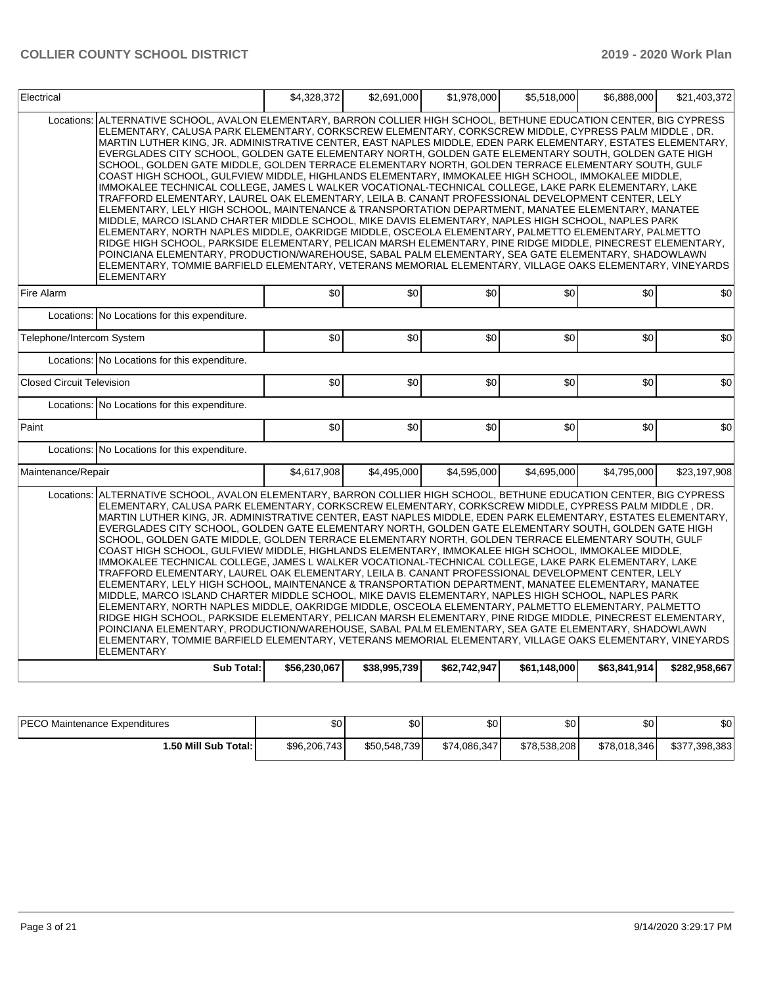| Electrical                       |                                                                                                                                                                                                                                                                                                                                                                                                                                                                                                                                                                                                                                                                                                                                                                                                                                                                                                                                                                                                                                                                                                                                                                                                                                                                                                                                                                                                                                                                                                                                                                    | \$4,328,372  | \$2,691,000  | \$1,978,000  | \$5,518,000  | \$6,888,000  | \$21,403,372  |
|----------------------------------|--------------------------------------------------------------------------------------------------------------------------------------------------------------------------------------------------------------------------------------------------------------------------------------------------------------------------------------------------------------------------------------------------------------------------------------------------------------------------------------------------------------------------------------------------------------------------------------------------------------------------------------------------------------------------------------------------------------------------------------------------------------------------------------------------------------------------------------------------------------------------------------------------------------------------------------------------------------------------------------------------------------------------------------------------------------------------------------------------------------------------------------------------------------------------------------------------------------------------------------------------------------------------------------------------------------------------------------------------------------------------------------------------------------------------------------------------------------------------------------------------------------------------------------------------------------------|--------------|--------------|--------------|--------------|--------------|---------------|
| Locations:                       | ALTERNATIVE SCHOOL, AVALON ELEMENTARY, BARRON COLLIER HIGH SCHOOL, BETHUNE EDUCATION CENTER, BIG CYPRESS<br>ELEMENTARY, CALUSA PARK ELEMENTARY, CORKSCREW ELEMENTARY, CORKSCREW MIDDLE, CYPRESS PALM MIDDLE, DR.<br>MARTIN LUTHER KING, JR. ADMINISTRATIVE CENTER, EAST NAPLES MIDDLE, EDEN PARK ELEMENTARY, ESTATES ELEMENTARY,<br>EVERGLADES CITY SCHOOL, GOLDEN GATE ELEMENTARY NORTH, GOLDEN GATE ELEMENTARY SOUTH, GOLDEN GATE HIGH<br>SCHOOL, GOLDEN GATE MIDDLE, GOLDEN TERRACE ELEMENTARY NORTH, GOLDEN TERRACE ELEMENTARY SOUTH, GULF<br>COAST HIGH SCHOOL, GULFVIEW MIDDLE, HIGHLANDS ELEMENTARY, IMMOKALEE HIGH SCHOOL, IMMOKALEE MIDDLE,<br>IMMOKALEE TECHNICAL COLLEGE, JAMES L WALKER VOCATIONAL-TECHNICAL COLLEGE, LAKE PARK ELEMENTARY, LAKE<br>TRAFFORD ELEMENTARY, LAUREL OAK ELEMENTARY, LEILA B. CANANT PROFESSIONAL DEVELOPMENT CENTER, LELY<br>ELEMENTARY, LELY HIGH SCHOOL, MAINTENANCE & TRANSPORTATION DEPARTMENT, MANATEE ELEMENTARY, MANATEE<br>MIDDLE, MARCO ISLAND CHARTER MIDDLE SCHOOL, MIKE DAVIS ELEMENTARY, NAPLES HIGH SCHOOL, NAPLES PARK<br>ELEMENTARY, NORTH NAPLES MIDDLE, OAKRIDGE MIDDLE, OSCEOLA ELEMENTARY, PALMETTO ELEMENTARY, PALMETTO<br>RIDGE HIGH SCHOOL, PARKSIDE ELEMENTARY, PELICAN MARSH ELEMENTARY, PINE RIDGE MIDDLE, PINECREST ELEMENTARY,<br>POINCIANA ELEMENTARY, PRODUCTION/WAREHOUSE, SABAL PALM ELEMENTARY, SEA GATE ELEMENTARY, SHADOWLAWN<br>ELEMENTARY, TOMMIE BARFIELD ELEMENTARY, VETERANS MEMORIAL ELEMENTARY, VILLAGE OAKS ELEMENTARY, VINEYARDS<br><b>ELEMENTARY</b>                          |              |              |              |              |              |               |
| Fire Alarm                       |                                                                                                                                                                                                                                                                                                                                                                                                                                                                                                                                                                                                                                                                                                                                                                                                                                                                                                                                                                                                                                                                                                                                                                                                                                                                                                                                                                                                                                                                                                                                                                    | \$0          | \$0          | \$0          | \$0          | \$0          | \$0           |
| Locations:                       | No Locations for this expenditure.                                                                                                                                                                                                                                                                                                                                                                                                                                                                                                                                                                                                                                                                                                                                                                                                                                                                                                                                                                                                                                                                                                                                                                                                                                                                                                                                                                                                                                                                                                                                 |              |              |              |              |              |               |
| Telephone/Intercom System        |                                                                                                                                                                                                                                                                                                                                                                                                                                                                                                                                                                                                                                                                                                                                                                                                                                                                                                                                                                                                                                                                                                                                                                                                                                                                                                                                                                                                                                                                                                                                                                    | \$0          | \$0          | \$0          | \$0          | \$0          | \$0           |
|                                  | Locations: No Locations for this expenditure.                                                                                                                                                                                                                                                                                                                                                                                                                                                                                                                                                                                                                                                                                                                                                                                                                                                                                                                                                                                                                                                                                                                                                                                                                                                                                                                                                                                                                                                                                                                      |              |              |              |              |              |               |
| <b>Closed Circuit Television</b> |                                                                                                                                                                                                                                                                                                                                                                                                                                                                                                                                                                                                                                                                                                                                                                                                                                                                                                                                                                                                                                                                                                                                                                                                                                                                                                                                                                                                                                                                                                                                                                    | \$0          | \$0          | \$0          | \$0          | \$0          | \$0           |
|                                  | Locations: No Locations for this expenditure.                                                                                                                                                                                                                                                                                                                                                                                                                                                                                                                                                                                                                                                                                                                                                                                                                                                                                                                                                                                                                                                                                                                                                                                                                                                                                                                                                                                                                                                                                                                      |              |              |              |              |              |               |
| Paint                            |                                                                                                                                                                                                                                                                                                                                                                                                                                                                                                                                                                                                                                                                                                                                                                                                                                                                                                                                                                                                                                                                                                                                                                                                                                                                                                                                                                                                                                                                                                                                                                    | \$0          | \$0          | \$0          | \$0          | \$0          | \$0           |
|                                  | Locations: No Locations for this expenditure.                                                                                                                                                                                                                                                                                                                                                                                                                                                                                                                                                                                                                                                                                                                                                                                                                                                                                                                                                                                                                                                                                                                                                                                                                                                                                                                                                                                                                                                                                                                      |              |              |              |              |              |               |
| Maintenance/Repair               |                                                                                                                                                                                                                                                                                                                                                                                                                                                                                                                                                                                                                                                                                                                                                                                                                                                                                                                                                                                                                                                                                                                                                                                                                                                                                                                                                                                                                                                                                                                                                                    | \$4,617,908  | \$4,495,000  | \$4,595,000  | \$4,695,000  | \$4,795,000  | \$23,197,908  |
|                                  | Locations: ALTERNATIVE SCHOOL, AVALON ELEMENTARY, BARRON COLLIER HIGH SCHOOL, BETHUNE EDUCATION CENTER, BIG CYPRESS<br>ELEMENTARY, CALUSA PARK ELEMENTARY, CORKSCREW ELEMENTARY, CORKSCREW MIDDLE, CYPRESS PALM MIDDLE, DR.<br>MARTIN LUTHER KING, JR. ADMINISTRATIVE CENTER, EAST NAPLES MIDDLE, EDEN PARK ELEMENTARY, ESTATES ELEMENTARY,<br>EVERGLADES CITY SCHOOL, GOLDEN GATE ELEMENTARY NORTH, GOLDEN GATE ELEMENTARY SOUTH, GOLDEN GATE HIGH<br>SCHOOL, GOLDEN GATE MIDDLE, GOLDEN TERRACE ELEMENTARY NORTH, GOLDEN TERRACE ELEMENTARY SOUTH, GULF<br>COAST HIGH SCHOOL, GULFVIEW MIDDLE, HIGHLANDS ELEMENTARY, IMMOKALEE HIGH SCHOOL, IMMOKALEE MIDDLE,<br>IMMOKALEE TECHNICAL COLLEGE, JAMES L WALKER VOCATIONAL-TECHNICAL COLLEGE, LAKE PARK ELEMENTARY, LAKE<br>TRAFFORD ELEMENTARY, LAUREL OAK ELEMENTARY, LEILA B. CANANT PROFESSIONAL DEVELOPMENT CENTER, LELY<br>ELEMENTARY. LELY HIGH SCHOOL. MAINTENANCE & TRANSPORTATION DEPARTMENT. MANATEE ELEMENTARY. MANATEE<br>MIDDLE, MARCO ISLAND CHARTER MIDDLE SCHOOL, MIKE DAVIS ELEMENTARY, NAPLES HIGH SCHOOL, NAPLES PARK<br>ELEMENTARY, NORTH NAPLES MIDDLE, OAKRIDGE MIDDLE, OSCEOLA ELEMENTARY, PALMETTO ELEMENTARY, PALMETTO<br>RIDGE HIGH SCHOOL, PARKSIDE ELEMENTARY, PELICAN MARSH ELEMENTARY, PINE RIDGE MIDDLE, PINECREST ELEMENTARY,<br>POINCIANA ELEMENTARY, PRODUCTION/WAREHOUSE, SABAL PALM ELEMENTARY, SEA GATE ELEMENTARY, SHADOWLAWN<br>ELEMENTARY, TOMMIE BARFIELD ELEMENTARY, VETERANS MEMORIAL ELEMENTARY, VILLAGE OAKS ELEMENTARY, VINEYARDS<br>ELEMENTARY<br><b>Sub Total:</b> | \$56,230,067 | \$38,995,739 | \$62,742,947 | \$61,148,000 | \$63,841,914 | \$282,958,667 |
|                                  |                                                                                                                                                                                                                                                                                                                                                                                                                                                                                                                                                                                                                                                                                                                                                                                                                                                                                                                                                                                                                                                                                                                                                                                                                                                                                                                                                                                                                                                                                                                                                                    |              |              |              |              |              |               |

| <b>IPECO</b><br>) Maintenance Expenditures | \$0          | ፍሰ<br>υU     | \$0          | ሶሳ<br>ъU     | \$0          | \$0           |
|--------------------------------------------|--------------|--------------|--------------|--------------|--------------|---------------|
| 1.50 Mill Sub Total: I                     | \$96,206,743 | \$50,548,739 | \$74.086.347 | \$78,538,208 | \$78.018.346 | \$377,398,383 |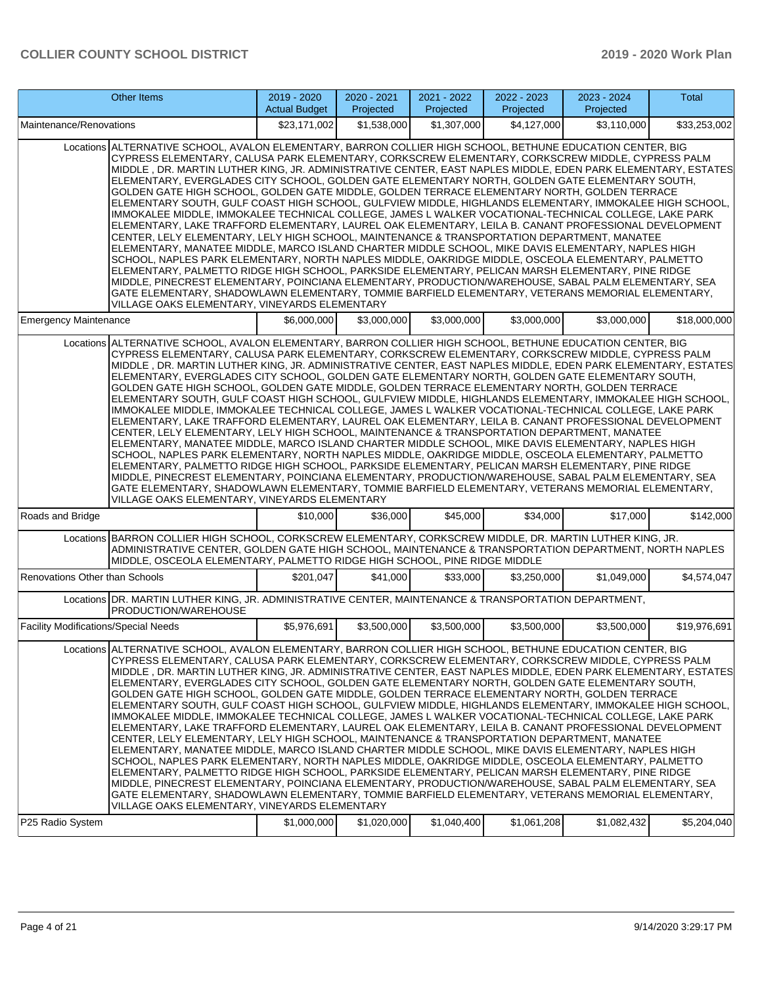|                                             | <b>Other Items</b>                                                                                                                                                                                                                                                                                                                                                                                                                                                                                                                                                                                                                                                                                                                                                                                                                                                                                                                                                                                                                                                                                                                                                                                                                                                                                                                                                                                                                                                                                                                             | $2019 - 2020$<br><b>Actual Budget</b> | 2020 - 2021<br>Projected | 2021 - 2022<br>Projected | 2022 - 2023<br>Projected | 2023 - 2024<br>Projected | Total        |
|---------------------------------------------|------------------------------------------------------------------------------------------------------------------------------------------------------------------------------------------------------------------------------------------------------------------------------------------------------------------------------------------------------------------------------------------------------------------------------------------------------------------------------------------------------------------------------------------------------------------------------------------------------------------------------------------------------------------------------------------------------------------------------------------------------------------------------------------------------------------------------------------------------------------------------------------------------------------------------------------------------------------------------------------------------------------------------------------------------------------------------------------------------------------------------------------------------------------------------------------------------------------------------------------------------------------------------------------------------------------------------------------------------------------------------------------------------------------------------------------------------------------------------------------------------------------------------------------------|---------------------------------------|--------------------------|--------------------------|--------------------------|--------------------------|--------------|
| Maintenance/Renovations                     |                                                                                                                                                                                                                                                                                                                                                                                                                                                                                                                                                                                                                                                                                                                                                                                                                                                                                                                                                                                                                                                                                                                                                                                                                                                                                                                                                                                                                                                                                                                                                | \$23.171.002                          | \$1,538,000              | \$1,307,000              | \$4,127,000              | \$3.110.000              | \$33,253,002 |
|                                             | Locations ALTERNATIVE SCHOOL, AVALON ELEMENTARY, BARRON COLLIER HIGH SCHOOL, BETHUNE EDUCATION CENTER, BIG<br>CYPRESS ELEMENTARY, CALUSA PARK ELEMENTARY, CORKSCREW ELEMENTARY, CORKSCREW MIDDLE, CYPRESS PALM<br>MIDDLE, DR. MARTIN LUTHER KING, JR. ADMINISTRATIVE CENTER, EAST NAPLES MIDDLE, EDEN PARK ELEMENTARY, ESTATES<br>ELEMENTARY, EVERGLADES CITY SCHOOL, GOLDEN GATE ELEMENTARY NORTH, GOLDEN GATE ELEMENTARY SOUTH,<br>GOLDEN GATE HIGH SCHOOL, GOLDEN GATE MIDDLE, GOLDEN TERRACE ELEMENTARY NORTH, GOLDEN TERRACE<br>ELEMENTARY SOUTH, GULF COAST HIGH SCHOOL, GULFVIEW MIDDLE, HIGHLANDS ELEMENTARY, IMMOKALEE HIGH SCHOOL,<br>IMMOKALEE MIDDLE, IMMOKALEE TECHNICAL COLLEGE, JAMES L WALKER VOCATIONAL-TECHNICAL COLLEGE, LAKE PARK<br>ELEMENTARY, LAKE TRAFFORD ELEMENTARY, LAUREL OAK ELEMENTARY, LEILA B. CANANT PROFESSIONAL DEVELOPMENT<br>CENTER, LELY ELEMENTARY, LELY HIGH SCHOOL, MAINTENANCE & TRANSPORTATION DEPARTMENT, MANATEE<br>ELEMENTARY, MANATEE MIDDLE, MARCO ISLAND CHARTER MIDDLE SCHOOL, MIKE DAVIS ELEMENTARY, NAPLES HIGH<br>SCHOOL, NAPLES PARK ELEMENTARY, NORTH NAPLES MIDDLE, OAKRIDGE MIDDLE, OSCEOLA ELEMENTARY, PALMETTO<br>ELEMENTARY, PALMETTO RIDGE HIGH SCHOOL, PARKSIDE ELEMENTARY, PELICAN MARSH ELEMENTARY, PINE RIDGE<br>MIDDLE, PINECREST ELEMENTARY, POINCIANA ELEMENTARY, PRODUCTION/WAREHOUSE, SABAL PALM ELEMENTARY, SEA<br>GATE ELEMENTARY, SHADOWLAWN ELEMENTARY, TOMMIE BARFIELD ELEMENTARY, VETERANS MEMORIAL ELEMENTARY,<br>VILLAGE OAKS ELEMENTARY, VINEYARDS ELEMENTARY   |                                       |                          |                          |                          |                          |              |
| <b>Emergency Maintenance</b>                |                                                                                                                                                                                                                                                                                                                                                                                                                                                                                                                                                                                                                                                                                                                                                                                                                                                                                                                                                                                                                                                                                                                                                                                                                                                                                                                                                                                                                                                                                                                                                | \$6,000,000                           | \$3,000,000              | \$3,000,000              | \$3,000,000              | \$3,000,000              | \$18,000,000 |
|                                             | Locations ALTERNATIVE SCHOOL. AVALON ELEMENTARY. BARRON COLLIER HIGH SCHOOL. BETHUNE EDUCATION CENTER. BIG<br>CYPRESS ELEMENTARY, CALUSA PARK ELEMENTARY, CORKSCREW ELEMENTARY, CORKSCREW MIDDLE, CYPRESS PALM<br>MIDDLE, DR. MARTIN LUTHER KING, JR. ADMINISTRATIVE CENTER, EAST NAPLES MIDDLE, EDEN PARK ELEMENTARY, ESTATES<br>ELEMENTARY, EVERGLADES CITY SCHOOL, GOLDEN GATE ELEMENTARY NORTH, GOLDEN GATE ELEMENTARY SOUTH,<br>GOLDEN GATE HIGH SCHOOL, GOLDEN GATE MIDDLE, GOLDEN TERRACE ELEMENTARY NORTH, GOLDEN TERRACE<br>ELEMENTARY SOUTH, GULF COAST HIGH SCHOOL, GULFVIEW MIDDLE, HIGHLANDS ELEMENTARY, IMMOKALEE HIGH SCHOOL,<br>IMMOKALEE MIDDLE, IMMOKALEE TECHNICAL COLLEGE, JAMES L WALKER VOCATIONAL-TECHNICAL COLLEGE, LAKE PARK<br>ELEMENTARY, LAKE TRAFFORD ELEMENTARY, LAUREL OAK ELEMENTARY, LEILA B. CANANT PROFESSIONAL DEVELOPMENT<br>CENTER, LELY ELEMENTARY, LELY HIGH SCHOOL, MAINTENANCE & TRANSPORTATION DEPARTMENT, MANATEE<br>ELEMENTARY, MANATEE MIDDLE, MARCO ISLAND CHARTER MIDDLE SCHOOL, MIKE DAVIS ELEMENTARY, NAPLES HIGH<br>SCHOOL, NAPLES PARK ELEMENTARY, NORTH NAPLES MIDDLE, OAKRIDGE MIDDLE, OSCEOLA ELEMENTARY, PALMETTO<br>ELEMENTARY, PALMETTO RIDGE HIGH SCHOOL, PARKSIDE ELEMENTARY, PELICAN MARSH ELEMENTARY, PINE RIDGE<br>MIDDLE, PINECREST ELEMENTARY, POINCIANA ELEMENTARY, PRODUCTION/WAREHOUSE, SABAL PALM ELEMENTARY, SEA<br>GATE ELEMENTARY, SHADOWLAWN ELEMENTARY, TOMMIE BARFIELD ELEMENTARY, VETERANS MEMORIAL ELEMENTARY,<br>VILLAGE OAKS ELEMENTARY, VINEYARDS ELEMENTARY   |                                       |                          |                          |                          |                          |              |
| Roads and Bridge                            |                                                                                                                                                                                                                                                                                                                                                                                                                                                                                                                                                                                                                                                                                                                                                                                                                                                                                                                                                                                                                                                                                                                                                                                                                                                                                                                                                                                                                                                                                                                                                | \$10,000                              | \$36,000                 | \$45,000                 | \$34,000                 | \$17,000                 | \$142,000    |
|                                             | Locations BARRON COLLIER HIGH SCHOOL, CORKSCREW ELEMENTARY, CORKSCREW MIDDLE, DR. MARTIN LUTHER KING, JR.<br>ADMINISTRATIVE CENTER, GOLDEN GATE HIGH SCHOOL, MAINTENANCE & TRANSPORTATION DEPARTMENT, NORTH NAPLES<br>MIDDLE, OSCEOLA ELEMENTARY, PALMETTO RIDGE HIGH SCHOOL, PINE RIDGE MIDDLE                                                                                                                                                                                                                                                                                                                                                                                                                                                                                                                                                                                                                                                                                                                                                                                                                                                                                                                                                                                                                                                                                                                                                                                                                                                |                                       |                          |                          |                          |                          |              |
| Renovations Other than Schools              |                                                                                                                                                                                                                                                                                                                                                                                                                                                                                                                                                                                                                                                                                                                                                                                                                                                                                                                                                                                                                                                                                                                                                                                                                                                                                                                                                                                                                                                                                                                                                | \$201,047                             | \$41,000                 | \$33,000                 | \$3,250,000              | \$1,049,000              | \$4,574,047  |
|                                             | Locations DR. MARTIN LUTHER KING, JR. ADMINISTRATIVE CENTER, MAINTENANCE & TRANSPORTATION DEPARTMENT,<br>PRODUCTION/WAREHOUSE                                                                                                                                                                                                                                                                                                                                                                                                                                                                                                                                                                                                                                                                                                                                                                                                                                                                                                                                                                                                                                                                                                                                                                                                                                                                                                                                                                                                                  |                                       |                          |                          |                          |                          |              |
| <b>Facility Modifications/Special Needs</b> |                                                                                                                                                                                                                                                                                                                                                                                                                                                                                                                                                                                                                                                                                                                                                                                                                                                                                                                                                                                                                                                                                                                                                                                                                                                                                                                                                                                                                                                                                                                                                | \$5,976,691                           | \$3,500,000              | \$3,500,000              | \$3,500,000              | \$3,500,000              | \$19,976,691 |
|                                             | Locations ALTERNATIVE SCHOOL, AVALON ELEMENTARY, BARRON COLLIER HIGH SCHOOL, BETHUNE EDUCATION CENTER, BIG<br>CYPRESS ELEMENTARY, CALUSA PARK ELEMENTARY, CORKSCREW ELEMENTARY, CORKSCREW MIDDLE, CYPRESS PALM<br>MIDDLE , DR. MARTIN LUTHER KING, JR. ADMINISTRATIVE CENTER, EAST NAPLES MIDDLE, EDEN PARK ELEMENTARY, ESTATES<br>ELEMENTARY, EVERGLADES CITY SCHOOL, GOLDEN GATE ELEMENTARY NORTH, GOLDEN GATE ELEMENTARY SOUTH,<br>GOLDEN GATE HIGH SCHOOL, GOLDEN GATE MIDDLE, GOLDEN TERRACE ELEMENTARY NORTH, GOLDEN TERRACE<br>ELEMENTARY SOUTH, GULF COAST HIGH SCHOOL, GULFVIEW MIDDLE, HIGHLANDS ELEMENTARY, IMMOKALEE HIGH SCHOOL,<br>IMMOKALEE MIDDLE, IMMOKALEE TECHNICAL COLLEGE, JAMES L WALKER VOCATIONAL-TECHNICAL COLLEGE, LAKE PARK<br>ELEMENTARY, LAKE TRAFFORD ELEMENTARY, LAUREL OAK ELEMENTARY, LEILA B. CANANT PROFESSIONAL DEVELOPMENT <br>CENTER, LELY ELEMENTARY, LELY HIGH SCHOOL, MAINTENANCE & TRANSPORTATION DEPARTMENT, MANATEE<br>ELEMENTARY, MANATEE MIDDLE, MARCO ISLAND CHARTER MIDDLE SCHOOL, MIKE DAVIS ELEMENTARY, NAPLES HIGH<br>SCHOOL, NAPLES PARK ELEMENTARY, NORTH NAPLES MIDDLE, OAKRIDGE MIDDLE, OSCEOLA ELEMENTARY, PALMETTO<br>ELEMENTARY, PALMETTO RIDGE HIGH SCHOOL, PARKSIDE ELEMENTARY, PELICAN MARSH ELEMENTARY, PINE RIDGE<br>MIDDLE, PINECREST ELEMENTARY, POINCIANA ELEMENTARY, PRODUCTION/WAREHOUSE, SABAL PALM ELEMENTARY, SEA<br>GATE ELEMENTARY, SHADOWLAWN ELEMENTARY, TOMMIE BARFIELD ELEMENTARY, VETERANS MEMORIAL ELEMENTARY,<br>VILLAGE OAKS ELEMENTARY, VINEYARDS ELEMENTARY |                                       |                          |                          |                          |                          |              |
| P25 Radio System                            |                                                                                                                                                                                                                                                                                                                                                                                                                                                                                                                                                                                                                                                                                                                                                                                                                                                                                                                                                                                                                                                                                                                                                                                                                                                                                                                                                                                                                                                                                                                                                | \$1,000,000                           | \$1,020,000              | \$1,040,400              | \$1,061,208              | \$1,082,432              | \$5,204,040  |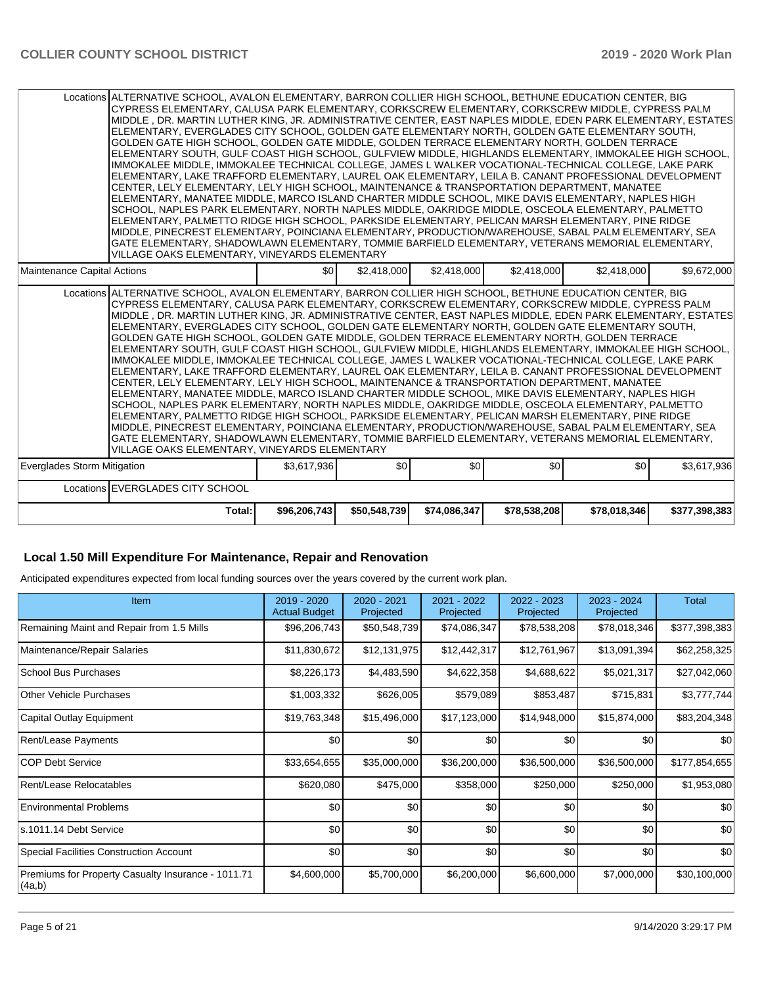|                             | Locations ALTERNATIVE SCHOOL, AVALON ELEMENTARY, BARRON COLLIER HIGH SCHOOL, BETHUNE EDUCATION CENTER, BIG<br>CYPRESS ELEMENTARY. CALUSA PARK ELEMENTARY. CORKSCREW ELEMENTARY. CORKSCREW MIDDLE. CYPRESS PALM<br>MIDDLE, DR. MARTIN LUTHER KING, JR. ADMINISTRATIVE CENTER, EAST NAPLES MIDDLE, EDEN PARK ELEMENTARY, ESTATES<br>ELEMENTARY. EVERGLADES CITY SCHOOL. GOLDEN GATE ELEMENTARY NORTH. GOLDEN GATE ELEMENTARY SOUTH.<br>GOLDEN GATE HIGH SCHOOL, GOLDEN GATE MIDDLE, GOLDEN TERRACE ELEMENTARY NORTH, GOLDEN TERRACE<br>ELEMENTARY SOUTH, GULF COAST HIGH SCHOOL, GULFVIEW MIDDLE, HIGHLANDS ELEMENTARY, IMMOKALEE HIGH SCHOOL,<br>IMMOKALEE MIDDLE, IMMOKALEE TECHNICAL COLLEGE, JAMES L WALKER VOCATIONAL-TECHNICAL COLLEGE, LAKE PARK<br>ELEMENTARY, LAKE TRAFFORD ELEMENTARY, LAUREL OAK ELEMENTARY, LEILA B. CANANT PROFESSIONAL DEVELOPMENT<br>CENTER, LELY ELEMENTARY, LELY HIGH SCHOOL, MAINTENANCE & TRANSPORTATION DEPARTMENT, MANATEE<br>ELEMENTARY, MANATEE MIDDLE, MARCO ISLAND CHARTER MIDDLE SCHOOL, MIKE DAVIS ELEMENTARY, NAPLES HIGH<br>SCHOOL, NAPLES PARK ELEMENTARY, NORTH NAPLES MIDDLE, OAKRIDGE MIDDLE, OSCEOLA ELEMENTARY, PALMETTO<br>ELEMENTARY, PALMETTO RIDGE HIGH SCHOOL, PARKSIDE ELEMENTARY, PELICAN MARSH ELEMENTARY, PINE RIDGE<br>MIDDLE, PINECREST ELEMENTARY, POINCIANA ELEMENTARY, PRODUCTION/WAREHOUSE, SABAL PALM ELEMENTARY, SEA<br>GATE ELEMENTARY, SHADOWLAWN ELEMENTARY, TOMMIE BARFIELD ELEMENTARY, VETERANS MEMORIAL ELEMENTARY,<br>VILLAGE OAKS ELEMENTARY, VINEYARDS ELEMENTARY     |              |              |              |              |              |               |
|-----------------------------|--------------------------------------------------------------------------------------------------------------------------------------------------------------------------------------------------------------------------------------------------------------------------------------------------------------------------------------------------------------------------------------------------------------------------------------------------------------------------------------------------------------------------------------------------------------------------------------------------------------------------------------------------------------------------------------------------------------------------------------------------------------------------------------------------------------------------------------------------------------------------------------------------------------------------------------------------------------------------------------------------------------------------------------------------------------------------------------------------------------------------------------------------------------------------------------------------------------------------------------------------------------------------------------------------------------------------------------------------------------------------------------------------------------------------------------------------------------------------------------------------------------------------------------------------|--------------|--------------|--------------|--------------|--------------|---------------|
| Maintenance Capital Actions |                                                                                                                                                                                                                                                                                                                                                                                                                                                                                                                                                                                                                                                                                                                                                                                                                                                                                                                                                                                                                                                                                                                                                                                                                                                                                                                                                                                                                                                                                                                                                  | \$0          | \$2,418,000  | \$2,418,000  | \$2,418,000  | \$2,418,000  | \$9,672,000   |
|                             | Locations ALTERNATIVE SCHOOL, AVALON ELEMENTARY, BARRON COLLIER HIGH SCHOOL, BETHUNE EDUCATION CENTER, BIG<br>CYPRESS ELEMENTARY, CALUSA PARK ELEMENTARY, CORKSCREW ELEMENTARY, CORKSCREW MIDDLE, CYPRESS PALM<br>IMIDDLE . DR. MARTIN LUTHER KING. JR. ADMINISTRATIVE CENTER. EAST NAPLES MIDDLE. EDEN PARK ELEMENTARY. ESTATESI<br>ELEMENTARY, EVERGLADES CITY SCHOOL, GOLDEN GATE ELEMENTARY NORTH, GOLDEN GATE ELEMENTARY SOUTH,<br>GOLDEN GATE HIGH SCHOOL, GOLDEN GATE MIDDLE, GOLDEN TERRACE ELEMENTARY NORTH, GOLDEN TERRACE<br>IELEMENTARY SOUTH. GULF COAST HIGH SCHOOL. GULFVIEW MIDDLE. HIGHLANDS ELEMENTARY. IMMOKALEE HIGH SCHOOL.<br>IMMOKALEE MIDDLE, IMMOKALEE TECHNICAL COLLEGE, JAMES L WALKER VOCATIONAL-TECHNICAL COLLEGE, LAKE PARK<br>ELEMENTARY, LAKE TRAFFORD ELEMENTARY, LAUREL OAK ELEMENTARY, LEILA B. CANANT PROFESSIONAL DEVELOPMENT<br>CENTER, LELY ELEMENTARY, LELY HIGH SCHOOL, MAINTENANCE & TRANSPORTATION DEPARTMENT, MANATEE<br>ELEMENTARY, MANATEE MIDDLE, MARCO ISLAND CHARTER MIDDLE SCHOOL, MIKE DAVIS ELEMENTARY, NAPLES HIGH<br>SCHOOL, NAPLES PARK ELEMENTARY, NORTH NAPLES MIDDLE, OAKRIDGE MIDDLE, OSCEOLA ELEMENTARY, PALMETTO<br>ELEMENTARY, PALMETTO RIDGE HIGH SCHOOL, PARKSIDE ELEMENTARY, PELICAN MARSH ELEMENTARY, PINE RIDGE<br>MIDDLE, PINECREST ELEMENTARY, POINCIANA ELEMENTARY, PRODUCTION/WAREHOUSE, SABAL PALM ELEMENTARY, SEA<br>GATE ELEMENTARY, SHADOWLAWN ELEMENTARY, TOMMIE BARFIELD ELEMENTARY, VETERANS MEMORIAL ELEMENTARY,<br>VILLAGE OAKS ELEMENTARY, VINEYARDS ELEMENTARY |              |              |              |              |              |               |
| Everglades Storm Mitigation |                                                                                                                                                                                                                                                                                                                                                                                                                                                                                                                                                                                                                                                                                                                                                                                                                                                                                                                                                                                                                                                                                                                                                                                                                                                                                                                                                                                                                                                                                                                                                  | \$3,617,936  | \$0          | \$0          | \$0          | \$0          | \$3,617,936   |
|                             | Locations EVERGLADES CITY SCHOOL                                                                                                                                                                                                                                                                                                                                                                                                                                                                                                                                                                                                                                                                                                                                                                                                                                                                                                                                                                                                                                                                                                                                                                                                                                                                                                                                                                                                                                                                                                                 |              |              |              |              |              |               |
|                             | Total:                                                                                                                                                                                                                                                                                                                                                                                                                                                                                                                                                                                                                                                                                                                                                                                                                                                                                                                                                                                                                                                                                                                                                                                                                                                                                                                                                                                                                                                                                                                                           | \$96,206,743 | \$50,548,739 | \$74,086,347 | \$78,538,208 | \$78,018,346 | \$377,398,383 |

#### **Local 1.50 Mill Expenditure For Maintenance, Repair and Renovation**

Anticipated expenditures expected from local funding sources over the years covered by the current work plan.

| Item                                                         | 2019 - 2020<br><b>Actual Budget</b> | 2020 - 2021<br>Projected | 2021 - 2022<br>Projected | 2022 - 2023<br>Projected | 2023 - 2024<br>Projected | <b>Total</b>  |
|--------------------------------------------------------------|-------------------------------------|--------------------------|--------------------------|--------------------------|--------------------------|---------------|
| Remaining Maint and Repair from 1.5 Mills                    | \$96,206,743                        | \$50,548,739             | \$74,086,347             | \$78,538,208             | \$78,018,346             | \$377,398,383 |
| Maintenance/Repair Salaries                                  | \$11,830,672                        | \$12,131,975             | \$12,442,317             | \$12,761,967             | \$13,091,394             | \$62,258,325  |
| School Bus Purchases                                         | \$8,226,173                         | \$4,483,590              | \$4,622,358              | \$4,688,622              | \$5,021,317              | \$27,042,060  |
| Other Vehicle Purchases                                      | \$1,003,332                         | \$626,005                | \$579,089                | \$853,487                | \$715,831                | \$3,777,744   |
| Capital Outlay Equipment                                     | \$19,763,348                        | \$15,496,000             | \$17,123,000             | \$14,948,000             | \$15,874,000             | \$83,204,348  |
| <b>Rent/Lease Payments</b>                                   | \$0 <sub>1</sub>                    | \$0                      | \$0                      | \$0                      | \$0                      | \$0           |
| ICOP Debt Service                                            | \$33,654,655                        | \$35,000,000             | \$36,200,000             | \$36,500,000             | \$36,500,000             | \$177,854,655 |
| Rent/Lease Relocatables                                      | \$620,080                           | \$475,000                | \$358,000                | \$250,000                | \$250,000                | \$1,953,080   |
| <b>Environmental Problems</b>                                | \$0                                 | \$0                      | \$0                      | \$0                      | \$0                      | \$0           |
| ls.1011.14 Debt Service                                      | \$0                                 | \$0                      | \$0                      | \$0                      | \$0                      | \$0           |
| Special Facilities Construction Account                      | \$0                                 | \$0                      | \$0                      | \$0                      | \$0                      | \$0           |
| Premiums for Property Casualty Insurance - 1011.71<br>(4a,b) | \$4,600,000                         | \$5,700,000              | \$6,200,000              | \$6,600,000              | \$7,000,000              | \$30,100,000  |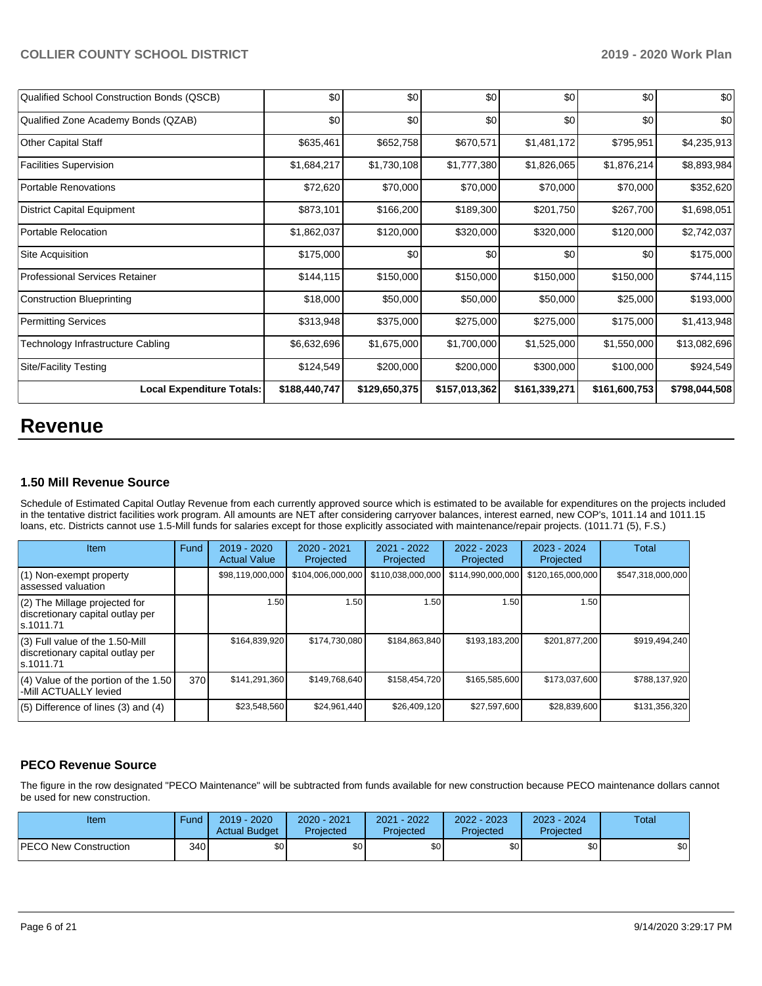| Qualified School Construction Bonds (QSCB) | \$0           | \$0           | \$0           | \$0           | \$0           | \$0           |
|--------------------------------------------|---------------|---------------|---------------|---------------|---------------|---------------|
| Qualified Zone Academy Bonds (QZAB)        | \$0           | \$0           | \$0           | \$0           | \$0           | \$0           |
| Other Capital Staff                        | \$635,461     | \$652,758     | \$670,571     | \$1,481,172   | \$795,951     | \$4,235,913   |
| <b>Facilities Supervision</b>              | \$1,684,217   | \$1,730,108   | \$1,777,380   | \$1,826,065   | \$1,876,214   | \$8,893,984   |
| <b>Portable Renovations</b>                | \$72,620      | \$70,000      | \$70,000      | \$70,000      | \$70,000      | \$352,620     |
| District Capital Equipment                 | \$873,101     | \$166,200     | \$189,300     | \$201,750     | \$267,700     | \$1,698,051   |
| Portable Relocation                        | \$1,862,037   | \$120,000     | \$320,000     | \$320,000     | \$120,000     | \$2,742,037   |
| <b>Site Acquisition</b>                    | \$175,000     | \$0           | \$0           | \$0           | \$0           | \$175,000     |
| <b>Professional Services Retainer</b>      | \$144, 115    | \$150,000     | \$150,000     | \$150,000     | \$150,000     | \$744,115     |
| Construction Blueprinting                  | \$18,000      | \$50,000      | \$50,000      | \$50,000      | \$25,000      | \$193,000     |
| <b>Permitting Services</b>                 | \$313,948     | \$375,000     | \$275,000     | \$275,000     | \$175,000     | \$1,413,948   |
| Technology Infrastructure Cabling          | \$6,632,696   | \$1,675,000   | \$1,700,000   | \$1,525,000   | \$1,550,000   | \$13,082,696  |
| <b>Site/Facility Testing</b>               | \$124,549     | \$200,000     | \$200,000     | \$300,000     | \$100,000     | \$924,549     |
| <b>Local Expenditure Totals:</b>           | \$188,440,747 | \$129,650,375 | \$157,013,362 | \$161,339,271 | \$161,600,753 | \$798,044,508 |

## **Revenue**

#### **1.50 Mill Revenue Source**

Schedule of Estimated Capital Outlay Revenue from each currently approved source which is estimated to be available for expenditures on the projects included in the tentative district facilities work program. All amounts are NET after considering carryover balances, interest earned, new COP's, 1011.14 and 1011.15 loans, etc. Districts cannot use 1.5-Mill funds for salaries except for those explicitly associated with maintenance/repair projects. (1011.71 (5), F.S.)

| <b>Item</b>                                                                         | Fund | $2019 - 2020$<br><b>Actual Value</b> | 2020 - 2021<br>Projected | 2021 - 2022<br>Projected | $2022 - 2023$<br>Projected | $2023 - 2024$<br>Projected | Total             |
|-------------------------------------------------------------------------------------|------|--------------------------------------|--------------------------|--------------------------|----------------------------|----------------------------|-------------------|
| (1) Non-exempt property<br>lassessed valuation                                      |      | \$98,119,000,000                     | \$104,006,000,000        | \$110,038,000,000        | \$114,990,000,000          | \$120,165,000,000          | \$547,318,000,000 |
| $(2)$ The Millage projected for<br>discretionary capital outlay per<br>ls.1011.71   |      | 1.50                                 | 1.50                     | 1.50                     | 1.50                       | 1.50                       |                   |
| $(3)$ Full value of the 1.50-Mill<br>discretionary capital outlay per<br>ls.1011.71 |      | \$164,839,920                        | \$174.730.080            | \$184,863,840            | \$193,183,200              | \$201,877,200              | \$919,494,240     |
| $(4)$ Value of the portion of the 1.50<br>-Mill ACTUALLY levied                     | 370  | \$141,291,360                        | \$149.768.640            | \$158,454,720            | \$165,585,600              | \$173,037,600              | \$788.137.920     |
| $(5)$ Difference of lines (3) and (4)                                               |      | \$23,548,560                         | \$24,961,440             | \$26,409,120             | \$27,597,600               | \$28,839,600               | \$131,356,320     |

## **PECO Revenue Source**

The figure in the row designated "PECO Maintenance" will be subtracted from funds available for new construction because PECO maintenance dollars cannot be used for new construction.

| Item                         | Fund         | $2019 - 2020$<br><b>Actual Budget</b> | 2020 - 2021<br>Projected | 2021 - 2022<br>Projected | 2022 - 2023<br>Projected | $2023 - 2024$<br>Projected | Total |
|------------------------------|--------------|---------------------------------------|--------------------------|--------------------------|--------------------------|----------------------------|-------|
| <b>PECO New Construction</b> | 340 <b>I</b> | <b>SO</b>                             | \$0                      | \$0                      | \$0 <sub>1</sub>         | \$0                        | \$0   |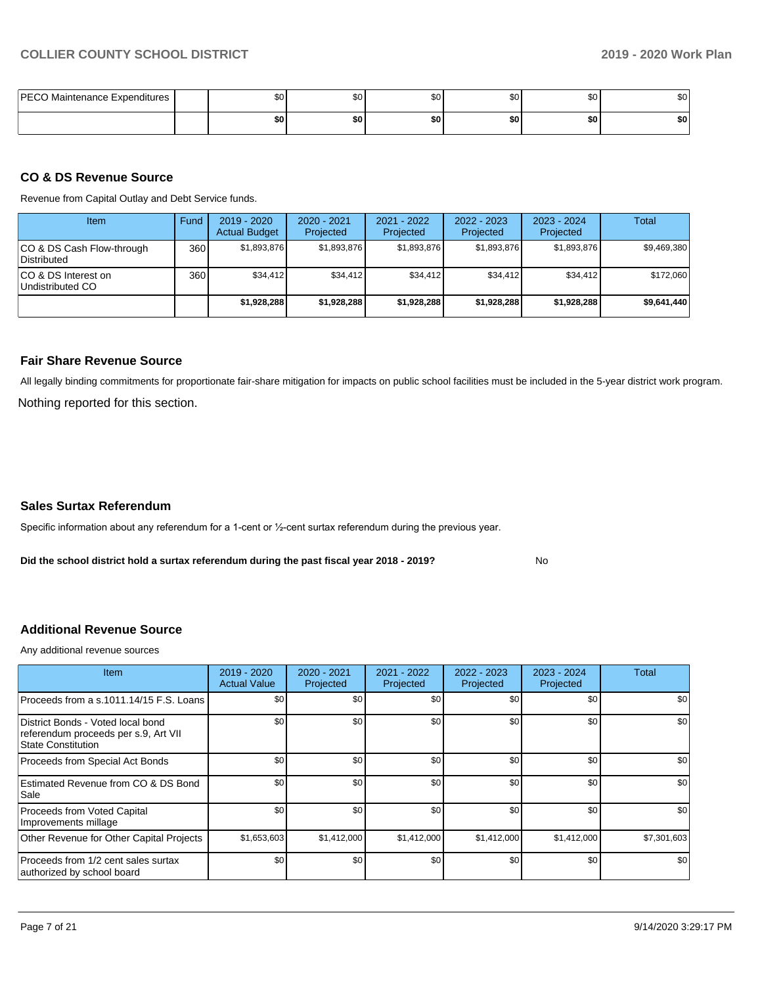| <b>PECO Maintenance Expenditures</b> | \$0 | \$0 <sub>1</sub> | \$C | ሶስ<br>ა∪ | ሰሰ<br>Ψ | ົົ<br>Ψ |
|--------------------------------------|-----|------------------|-----|----------|---------|---------|
|                                      | \$0 | \$0              | \$0 | \$0      | \$0     | \$0     |

#### **CO & DS Revenue Source**

Revenue from Capital Outlay and Debt Service funds.

| Item                                      | Fund  | $2019 - 2020$<br><b>Actual Budget</b> | $2020 - 2021$<br>Projected | 2021 - 2022<br>Projected | $2022 - 2023$<br>Projected | $2023 - 2024$<br>Projected | Total       |
|-------------------------------------------|-------|---------------------------------------|----------------------------|--------------------------|----------------------------|----------------------------|-------------|
| ICO & DS Cash Flow-through<br>Distributed | 360 l | \$1.893.876                           | \$1,893,876                | \$1,893,876              | \$1.893.876                | \$1,893,876                | \$9,469,380 |
| ICO & DS Interest on<br>Undistributed CO  | 360   | \$34.412                              | \$34,412                   | \$34.412                 | \$34.412                   | \$34,412                   | \$172,060   |
|                                           |       | \$1,928,288                           | \$1,928,288                | \$1,928,288              | \$1,928,288                | \$1,928,288                | \$9,641,440 |

#### **Fair Share Revenue Source**

Nothing reported for this section. All legally binding commitments for proportionate fair-share mitigation for impacts on public school facilities must be included in the 5-year district work program.

#### **Sales Surtax Referendum**

Specific information about any referendum for a 1-cent or ½-cent surtax referendum during the previous year.

**Did the school district hold a surtax referendum during the past fiscal year 2018 - 2019?**

No

### **Additional Revenue Source**

Any additional revenue sources

| Item                                                                                                   | 2019 - 2020<br><b>Actual Value</b> | 2020 - 2021<br>Projected | 2021 - 2022<br>Projected | 2022 - 2023<br>Projected | $2023 - 2024$<br>Projected | <b>Total</b> |
|--------------------------------------------------------------------------------------------------------|------------------------------------|--------------------------|--------------------------|--------------------------|----------------------------|--------------|
| Proceeds from a s.1011.14/15 F.S. Loans                                                                | \$0                                | \$0                      | \$0                      | \$0                      | \$0                        | \$0          |
| District Bonds - Voted local bond<br>referendum proceeds per s.9, Art VII<br><b>State Constitution</b> | \$0                                | \$0                      | \$0                      | \$0                      | \$0                        | \$0          |
| Proceeds from Special Act Bonds                                                                        | \$0                                | \$0                      | \$0                      | \$0                      | \$0                        | \$0          |
| Estimated Revenue from CO & DS Bond<br>Sale                                                            | \$0                                | \$0                      | \$0                      | \$0                      | \$0                        | \$0          |
| <b>Proceeds from Voted Capital</b><br>Improvements millage                                             | \$0                                | \$0                      | \$0                      | \$0                      | \$0                        | \$0          |
| Other Revenue for Other Capital Projects                                                               | \$1,653,603                        | \$1,412,000              | \$1,412,000              | \$1,412,000              | \$1,412,000                | \$7,301,603  |
| Proceeds from 1/2 cent sales surtax<br>authorized by school board                                      | \$0                                | \$0                      | \$0                      | \$0                      | \$0                        | \$0          |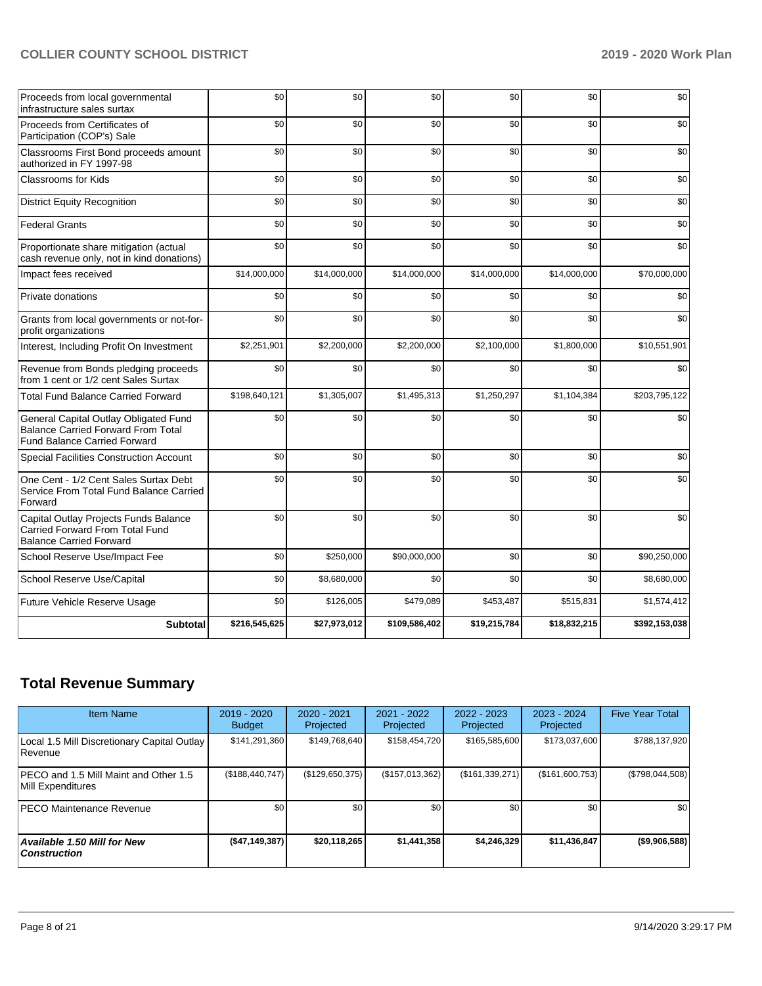| Proceeds from local governmental<br>infrastructure sales surtax                                                           | \$0           | \$0          | \$0           | \$0          | \$0          | \$0           |
|---------------------------------------------------------------------------------------------------------------------------|---------------|--------------|---------------|--------------|--------------|---------------|
| Proceeds from Certificates of<br>Participation (COP's) Sale                                                               | \$0           | \$0          | \$0           | \$0          | \$0          | \$0           |
| Classrooms First Bond proceeds amount<br>authorized in FY 1997-98                                                         | \$0           | \$0          | \$0           | \$0          | \$0          | \$0           |
| <b>Classrooms for Kids</b>                                                                                                | \$0           | \$0          | \$0           | \$0          | \$0          | \$0           |
| <b>District Equity Recognition</b>                                                                                        | \$0           | \$0          | \$0           | \$0          | \$0          | \$0           |
| <b>Federal Grants</b>                                                                                                     | \$0           | \$0          | \$0           | \$0          | \$0          | \$0           |
| Proportionate share mitigation (actual<br>cash revenue only, not in kind donations)                                       | \$0           | \$0          | \$0           | \$0          | \$0          | \$0           |
| Impact fees received                                                                                                      | \$14,000,000  | \$14,000,000 | \$14,000,000  | \$14,000,000 | \$14,000,000 | \$70,000,000  |
| Private donations                                                                                                         | \$0           | \$0          | \$0           | \$0          | \$0          | \$0           |
| Grants from local governments or not-for-<br>profit organizations                                                         | \$0           | \$0          | \$0           | \$0          | \$0          | \$0           |
| Interest, Including Profit On Investment                                                                                  | \$2,251,901   | \$2,200,000  | \$2,200,000   | \$2,100,000  | \$1,800,000  | \$10,551,901  |
| Revenue from Bonds pledging proceeds<br>from 1 cent or 1/2 cent Sales Surtax                                              | \$0           | \$0          | \$0           | \$0          | \$0          | \$0           |
| <b>Total Fund Balance Carried Forward</b>                                                                                 | \$198,640,121 | \$1,305,007  | \$1,495,313   | \$1,250,297  | \$1,104,384  | \$203,795,122 |
| General Capital Outlay Obligated Fund<br><b>Balance Carried Forward From Total</b><br><b>Fund Balance Carried Forward</b> | \$0           | \$0          | \$0           | \$0          | \$0          | \$0           |
| Special Facilities Construction Account                                                                                   | \$0           | \$0          | \$0           | \$0          | \$0          | \$0           |
| One Cent - 1/2 Cent Sales Surtax Debt<br>Service From Total Fund Balance Carried<br>Forward                               | \$0           | \$0          | \$0           | \$0          | \$0          | \$0           |
| Capital Outlay Projects Funds Balance<br>Carried Forward From Total Fund<br><b>Balance Carried Forward</b>                | \$0           | \$0          | \$0           | \$0          | \$0          | \$0           |
| School Reserve Use/Impact Fee                                                                                             | \$0           | \$250,000    | \$90,000,000  | \$0          | \$0          | \$90,250,000  |
| School Reserve Use/Capital                                                                                                | \$0           | \$8,680,000  | \$0           | \$0          | \$0          | \$8,680,000   |
| Future Vehicle Reserve Usage                                                                                              | \$0           | \$126,005    | \$479,089     | \$453,487    | \$515,831    | \$1,574,412   |
| <b>Subtotal</b>                                                                                                           | \$216,545,625 | \$27,973,012 | \$109,586,402 | \$19,215,784 | \$18,832,215 | \$392,153,038 |

## **Total Revenue Summary**

| <b>Item Name</b>                                              | $2019 - 2020$<br><b>Budget</b> | 2020 - 2021<br>Projected | 2021 - 2022<br>Projected | $2022 - 2023$<br>Projected | 2023 - 2024<br>Projected | <b>Five Year Total</b> |
|---------------------------------------------------------------|--------------------------------|--------------------------|--------------------------|----------------------------|--------------------------|------------------------|
| Local 1.5 Mill Discretionary Capital Outlay<br><b>Revenue</b> | \$141,291,360                  | \$149.768.640            | \$158,454,720            | \$165,585,600              | \$173,037,600            | \$788,137,920          |
| PECO and 1.5 Mill Maint and Other 1.5<br>Mill Expenditures    | (\$188,440,747)                | (\$129,650,375)          | (\$157,013,362)          | (\$161,339,271)            | (\$161,600,753)          | (\$798,044,508)        |
| <b>IPECO Maintenance Revenue</b>                              | \$0 <sub>1</sub>               | \$0 <sub>1</sub>         | \$0                      | \$0                        | \$0                      | \$0                    |
| Available 1.50 Mill for New<br>  Construction                 | ( \$47, 149, 387]              | \$20.118.265             | \$1,441,358              | \$4,246,329                | \$11,436,847             | $($ \$9,906,588) $ $   |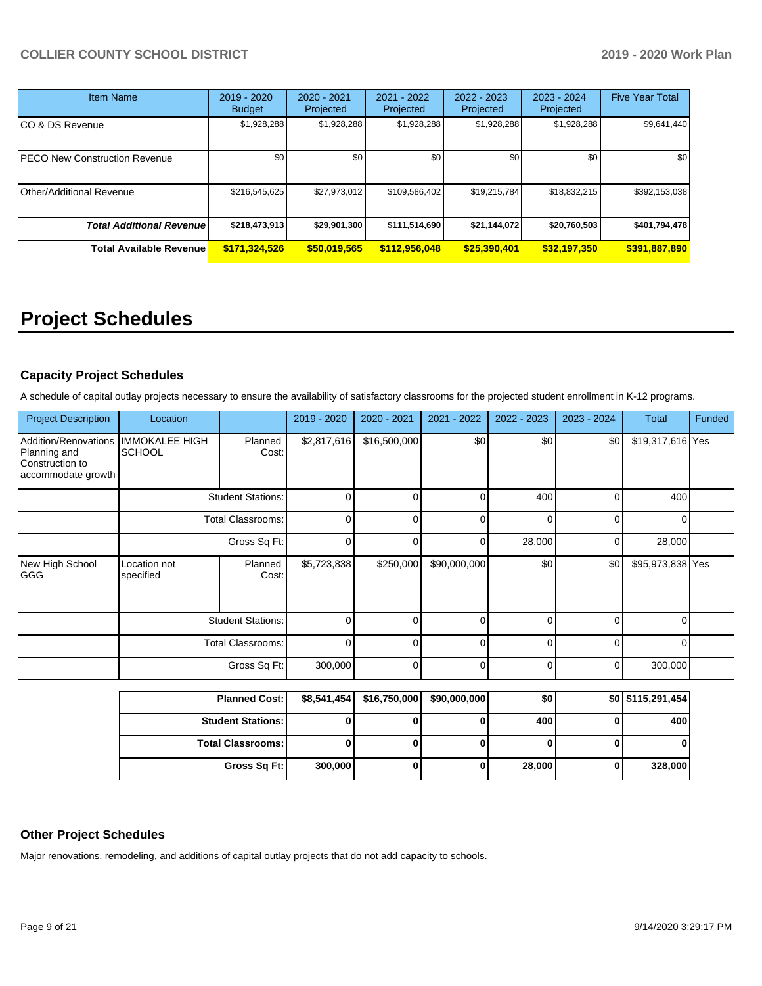| <b>Item Name</b>                 | $2019 - 2020$<br><b>Budget</b> | 2020 - 2021<br>Projected | 2021 - 2022<br>Projected | 2022 - 2023<br>Projected | $2023 - 2024$<br>Projected | <b>Five Year Total</b> |
|----------------------------------|--------------------------------|--------------------------|--------------------------|--------------------------|----------------------------|------------------------|
| CO & DS Revenue                  | \$1,928,288                    | \$1,928,288              | \$1,928,288              | \$1,928,288              | \$1,928,288                | \$9,641,440            |
| PECO New Construction Revenue    | \$0                            | \$0                      | \$0                      | \$0                      | \$0                        | \$0                    |
| Other/Additional Revenue         | \$216,545,625                  | \$27,973,012             | \$109,586,402            | \$19,215,784             | \$18,832,215               | \$392,153,038          |
| <b>Total Additional Revenuel</b> | \$218,473,913                  | \$29,901,300             | \$111,514,690            | \$21,144,072             | \$20,760,503               | \$401,794,478          |
| <b>Total Available Revenue</b>   | \$171,324,526                  | \$50,019,565             | \$112,956,048            | \$25,390,401             | \$32,197,350               | \$391,887,890          |

# **Project Schedules**

## **Capacity Project Schedules**

A schedule of capital outlay projects necessary to ensure the availability of satisfactory classrooms for the projected student enrollment in K-12 programs.

| <b>Project Description</b>                                                    | Location                               |                          | 2019 - 2020 | 2020 - 2021  | 2021 - 2022  | 2022 - 2023    | 2023 - 2024 | <b>Total</b>     | Funded |
|-------------------------------------------------------------------------------|----------------------------------------|--------------------------|-------------|--------------|--------------|----------------|-------------|------------------|--------|
| Addition/Renovations<br>Planning and<br>Construction to<br>accommodate growth | <b>IMMOKALEE HIGH</b><br><b>SCHOOL</b> | Planned<br>Cost:         | \$2,817,616 | \$16,500,000 | \$0          | \$0            | \$0         | \$19,317,616 Yes |        |
|                                                                               |                                        | <b>Student Stations:</b> | 0           |              | $\Omega$     | 400            | 0           | 400              |        |
|                                                                               | Total Classrooms:                      |                          | $\mathbf 0$ | 0            | 0            | $\overline{0}$ | 0           | 0                |        |
|                                                                               | Gross Sq Ft:                           |                          | 0           |              | 0            | 28,000         | 0           | 28,000           |        |
| New High School<br> GGG                                                       | Location not<br>specified              | Planned<br>Cost:         | \$5,723,838 | \$250,000    | \$90,000,000 | \$0            | \$0         | \$95,973,838 Yes |        |
|                                                                               | <b>Student Stations:</b>               |                          | 0           |              | $\Omega$     | $\overline{0}$ | 0           | 0                |        |
|                                                                               | Total Classrooms:                      |                          | $\mathbf 0$ | $\Omega$     | 0            | $\overline{0}$ | 0           | 0                |        |
|                                                                               |                                        | Gross Sq Ft:             | 300,000     | $\Omega$     | 0            | $\overline{0}$ | 0           | 300,000          |        |

| <b>Planned Cost:</b>     |         | $$8,541,454$ $$16,750,000$ | \$90,000,000 | \$0    | \$0 \$115,291,454] |
|--------------------------|---------|----------------------------|--------------|--------|--------------------|
| <b>Student Stations:</b> |         |                            |              | 400 l  | 400                |
| <b>Total Classrooms:</b> |         |                            |              |        |                    |
| Gross Sq Ft:             | 300,000 |                            |              | 28,000 | 328,000            |

## **Other Project Schedules**

Major renovations, remodeling, and additions of capital outlay projects that do not add capacity to schools.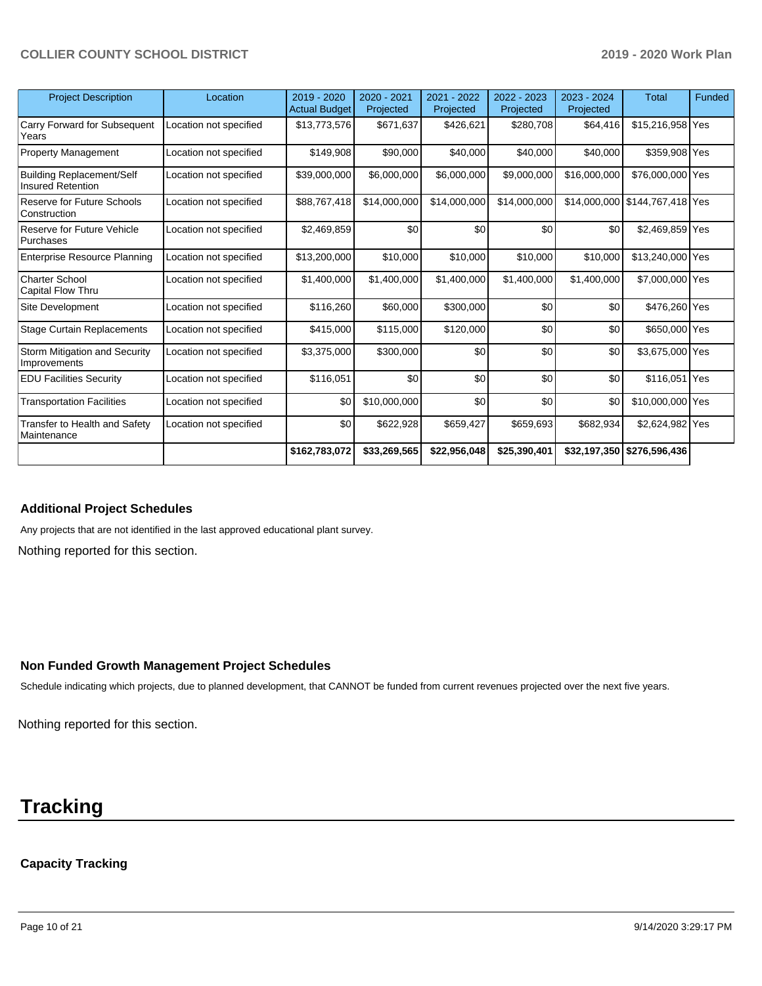| <b>Project Description</b>                                   | Location               | 2019 - 2020<br><b>Actual Budget</b> | 2020 - 2021<br>Projected | 2021 - 2022<br>Projected | 2022 - 2023<br>Projected | 2023 - 2024<br>Projected | <b>Total</b>                   | Funded |
|--------------------------------------------------------------|------------------------|-------------------------------------|--------------------------|--------------------------|--------------------------|--------------------------|--------------------------------|--------|
| Carry Forward for Subsequent<br>Years                        | Location not specified | \$13,773,576                        | \$671,637                | \$426,621                | \$280,708                | \$64,416                 | \$15,216,958 Yes               |        |
| <b>Property Management</b>                                   | Location not specified | \$149,908                           | \$90,000                 | \$40,000                 | \$40,000                 | \$40,000                 | \$359,908 Yes                  |        |
| <b>Building Replacement/Self</b><br><b>Insured Retention</b> | Location not specified | \$39,000,000                        | \$6,000,000              | \$6,000,000              | \$9,000,000              | \$16,000,000             | \$76,000,000 Yes               |        |
| Reserve for Future Schools<br>Construction                   | Location not specified | \$88,767,418                        | \$14,000,000             | \$14,000,000             | \$14,000,000             |                          | \$14,000,000 \$144,767,418 Yes |        |
| Reserve for Future Vehicle<br>Purchases                      | Location not specified | \$2,469,859                         | \$0                      | \$0                      | \$0                      | \$0                      | \$2,469,859 Yes                |        |
| <b>Enterprise Resource Planning</b>                          | Location not specified | \$13,200,000                        | \$10,000                 | \$10,000                 | \$10,000                 | \$10,000                 | \$13,240,000 Yes               |        |
| <b>Charter School</b><br>Capital Flow Thru                   | Location not specified | \$1,400,000                         | \$1,400,000              | \$1,400,000              | \$1,400,000              | \$1,400,000              | \$7,000,000 Yes                |        |
| Site Development                                             | Location not specified | \$116,260                           | \$60,000                 | \$300,000                | \$0                      | \$0                      | \$476,260 Yes                  |        |
| <b>Stage Curtain Replacements</b>                            | Location not specified | \$415,000                           | \$115,000                | \$120,000                | \$0                      | \$0                      | \$650,000 Yes                  |        |
| Storm Mitigation and Security<br>Improvements                | Location not specified | \$3,375,000                         | \$300,000                | \$0                      | \$0                      | \$0                      | \$3,675,000 Yes                |        |
| <b>EDU Facilities Security</b>                               | Location not specified | \$116,051                           | \$0                      | \$0                      | \$0                      | \$0                      | \$116,051 Yes                  |        |
| <b>Transportation Facilities</b>                             | Location not specified | \$0                                 | \$10,000,000             | \$0                      | \$0                      | \$0                      | \$10,000,000 Yes               |        |
| Transfer to Health and Safety<br>Maintenance                 | Location not specified | \$0                                 | \$622,928                | \$659,427                | \$659,693                | \$682,934                | \$2,624,982 Yes                |        |
|                                                              |                        | \$162,783,072                       | \$33,269,565             | \$22,956,048             | \$25,390,401             |                          | \$32,197,350 \$276,596,436     |        |

#### **Additional Project Schedules**

Any projects that are not identified in the last approved educational plant survey.

Nothing reported for this section.

#### **Non Funded Growth Management Project Schedules**

Schedule indicating which projects, due to planned development, that CANNOT be funded from current revenues projected over the next five years.

Nothing reported for this section.

## **Tracking**

## **Capacity Tracking**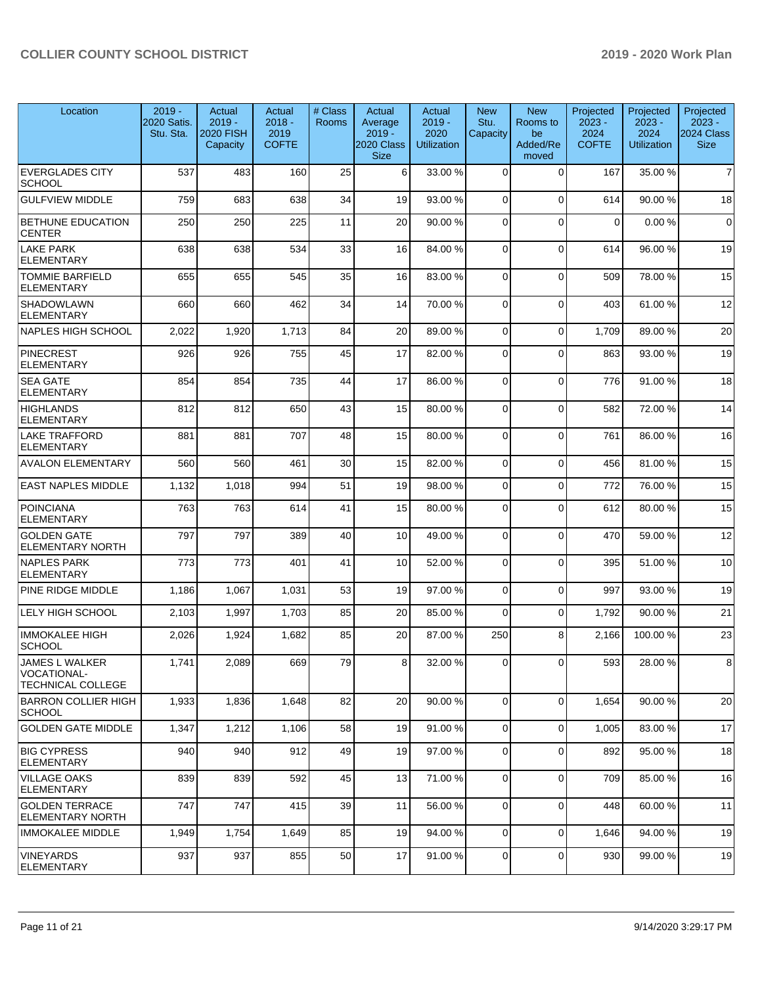| Location                                                  | $2019 -$<br>2020 Satis.<br>Stu. Sta. | Actual<br>$2019 -$<br>2020 FISH<br>Capacity | Actual<br>$2018 -$<br>2019<br><b>COFTE</b> | # Class<br>Rooms | Actual<br>Average<br>$2019 -$<br>2020 Class<br><b>Size</b> | Actual<br>$2019 -$<br>2020<br><b>Utilization</b> | <b>New</b><br>Stu.<br>Capacity | <b>New</b><br>Rooms to<br>be<br>Added/Re<br>moved | Projected<br>$2023 -$<br>2024<br><b>COFTE</b> | Projected<br>$2023 -$<br>2024<br><b>Utilization</b> | Projected<br>$2023 -$<br>2024 Class<br><b>Size</b> |
|-----------------------------------------------------------|--------------------------------------|---------------------------------------------|--------------------------------------------|------------------|------------------------------------------------------------|--------------------------------------------------|--------------------------------|---------------------------------------------------|-----------------------------------------------|-----------------------------------------------------|----------------------------------------------------|
| <b>EVERGLADES CITY</b><br>SCHOOL                          | 537                                  | 483                                         | 160                                        | 25               | 6                                                          | 33.00 %                                          | $\Omega$                       | $\Omega$                                          | 167                                           | 35.00 %                                             | $\overline{7}$                                     |
| <b>GULFVIEW MIDDLE</b>                                    | 759                                  | 683                                         | 638                                        | 34               | 19                                                         | 93.00 %                                          | $\Omega$                       | $\Omega$                                          | 614                                           | 90.00 %                                             | 18                                                 |
| <b>BETHUNE EDUCATION</b><br><b>CENTER</b>                 | 250                                  | 250                                         | 225                                        | 11               | 20                                                         | 90.00 %                                          | $\Omega$                       | $\Omega$                                          | 0                                             | 0.00%                                               | $\mathbf 0$                                        |
| LAKE PARK<br><b>ELEMENTARY</b>                            | 638                                  | 638                                         | 534                                        | 33               | 16                                                         | 84.00 %                                          | $\mathbf 0$                    | $\Omega$                                          | 614                                           | 96.00 %                                             | 19                                                 |
| <b>TOMMIE BARFIELD</b><br><b>ELEMENTARY</b>               | 655                                  | 655                                         | 545                                        | 35               | 16                                                         | 83.00 %                                          | $\Omega$                       | $\Omega$                                          | 509                                           | 78.00 %                                             | 15                                                 |
| <b>SHADOWLAWN</b><br><b>ELEMENTARY</b>                    | 660                                  | 660                                         | 462                                        | 34               | 14                                                         | 70.00 %                                          | $\Omega$                       | $\mathbf 0$                                       | 403                                           | 61.00 %                                             | 12                                                 |
| <b>NAPLES HIGH SCHOOL</b>                                 | 2,022                                | 1,920                                       | 1,713                                      | 84               | 20                                                         | 89.00 %                                          | 0                              | $\Omega$                                          | 1,709                                         | 89.00 %                                             | 20                                                 |
| <b>PINECREST</b><br><b>ELEMENTARY</b>                     | 926                                  | 926                                         | 755                                        | 45               | 17                                                         | 82.00 %                                          | $\mathbf 0$                    | $\Omega$                                          | 863                                           | 93.00 %                                             | 19                                                 |
| <b>SEA GATE</b><br><b>ELEMENTARY</b>                      | 854                                  | 854                                         | 735                                        | 44               | 17                                                         | 86.00%                                           | $\Omega$                       | $\Omega$                                          | 776                                           | 91.00%                                              | 18                                                 |
| <b>HIGHLANDS</b><br><b>ELEMENTARY</b>                     | 812                                  | 812                                         | 650                                        | 43               | 15                                                         | 80.00 %                                          | $\Omega$                       | $\mathbf 0$                                       | 582                                           | 72.00 %                                             | 14                                                 |
| <b>LAKE TRAFFORD</b><br><b>ELEMENTARY</b>                 | 881                                  | 881                                         | 707                                        | 48               | 15                                                         | 80.00%                                           | $\Omega$                       | $\Omega$                                          | 761                                           | 86.00 %                                             | 16                                                 |
| <b>AVALON ELEMENTARY</b>                                  | 560                                  | 560                                         | 461                                        | 30               | 15                                                         | 82.00%                                           | $\Omega$                       | $\Omega$                                          | 456                                           | 81.00%                                              | 15                                                 |
| <b>EAST NAPLES MIDDLE</b>                                 | 1,132                                | 1,018                                       | 994                                        | 51               | 19                                                         | 98.00 %                                          | 0                              | $\mathbf 0$                                       | 772                                           | 76.00 %                                             | 15                                                 |
| <b>POINCIANA</b><br><b>ELEMENTARY</b>                     | 763                                  | 763                                         | 614                                        | 41               | 15                                                         | 80.00 %                                          | 0                              | $\mathbf 0$                                       | 612                                           | 80.00 %                                             | 15                                                 |
| <b>GOLDEN GATE</b><br><b>ELEMENTARY NORTH</b>             | 797                                  | 797                                         | 389                                        | 40               | 10                                                         | 49.00 %                                          | $\Omega$                       | $\mathbf 0$                                       | 470                                           | 59.00 %                                             | 12                                                 |
| <b>NAPLES PARK</b><br><b>ELEMENTARY</b>                   | 773                                  | 773                                         | 401                                        | 41               | 10                                                         | 52.00 %                                          | $\mathbf 0$                    | $\Omega$                                          | 395                                           | 51.00 %                                             | 10                                                 |
| PINE RIDGE MIDDLE                                         | 1,186                                | 1,067                                       | 1,031                                      | 53               | 19                                                         | 97.00 %                                          | $\Omega$                       | $\mathbf 0$                                       | 997                                           | 93.00 %                                             | 19                                                 |
| LELY HIGH SCHOOL                                          | 2,103                                | 1,997                                       | 1,703                                      | 85               | 20                                                         | 85.00 %                                          | $\Omega$                       | $\mathbf 0$                                       | 1,792                                         | 90.00 %                                             | 21                                                 |
| <b>IMMOKALEE HIGH</b><br><b>SCHOOL</b>                    | 2,026                                | 1,924                                       | 1,682                                      | 85               | 20                                                         | 87.00 %                                          | 250                            | 8                                                 | 2,166                                         | 100.00%                                             | 23                                                 |
| JAMES L WALKER<br>VOCATIONAL-<br><b>TECHNICAL COLLEGE</b> | 1,741                                | 2,089                                       | 669                                        | 79               | 81                                                         | 32.00 %                                          | <sup>0</sup>                   | $\cup$                                            | 593                                           | 28.00%                                              | 8                                                  |
| BARRON COLLIER HIGH<br><b>SCHOOL</b>                      | 1,933                                | 1,836                                       | 1,648                                      | 82               | 20                                                         | 90.00 %                                          | 0                              | $\Omega$                                          | 1,654                                         | 90.00 %                                             | 20                                                 |
| <b>GOLDEN GATE MIDDLE</b>                                 | 1,347                                | 1,212                                       | 1,106                                      | 58               | 19                                                         | 91.00%                                           | $\mathbf 0$                    | $\mathbf 0$                                       | 1,005                                         | 83.00 %                                             | 17                                                 |
| <b>BIG CYPRESS</b><br>ELEMENTARY                          | 940                                  | 940                                         | 912                                        | 49               | 19                                                         | 97.00 %                                          | $\mathbf 0$                    | $\Omega$                                          | 892                                           | 95.00 %                                             | 18                                                 |
| <b>VILLAGE OAKS</b><br><b>ELEMENTARY</b>                  | 839                                  | 839                                         | 592                                        | 45               | 13                                                         | 71.00 %                                          | 0                              | $\mathbf 0$                                       | 709                                           | 85.00 %                                             | 16                                                 |
| <b>GOLDEN TERRACE</b><br><b>ELEMENTARY NORTH</b>          | 747                                  | 747                                         | 415                                        | 39               | 11                                                         | 56.00 %                                          | 0                              | 0                                                 | 448                                           | 60.00 %                                             | 11                                                 |
| <b>IMMOKALEE MIDDLE</b>                                   | 1,949                                | 1,754                                       | 1,649                                      | 85               | 19                                                         | 94.00 %                                          | $\mathbf 0$                    | $\mathbf 0$                                       | 1,646                                         | 94.00 %                                             | 19                                                 |
| VINEYARDS<br>ELEMENTARY                                   | 937                                  | 937                                         | 855                                        | 50               | 17                                                         | 91.00 %                                          | 0                              | $\Omega$                                          | 930                                           | 99.00 %                                             | 19                                                 |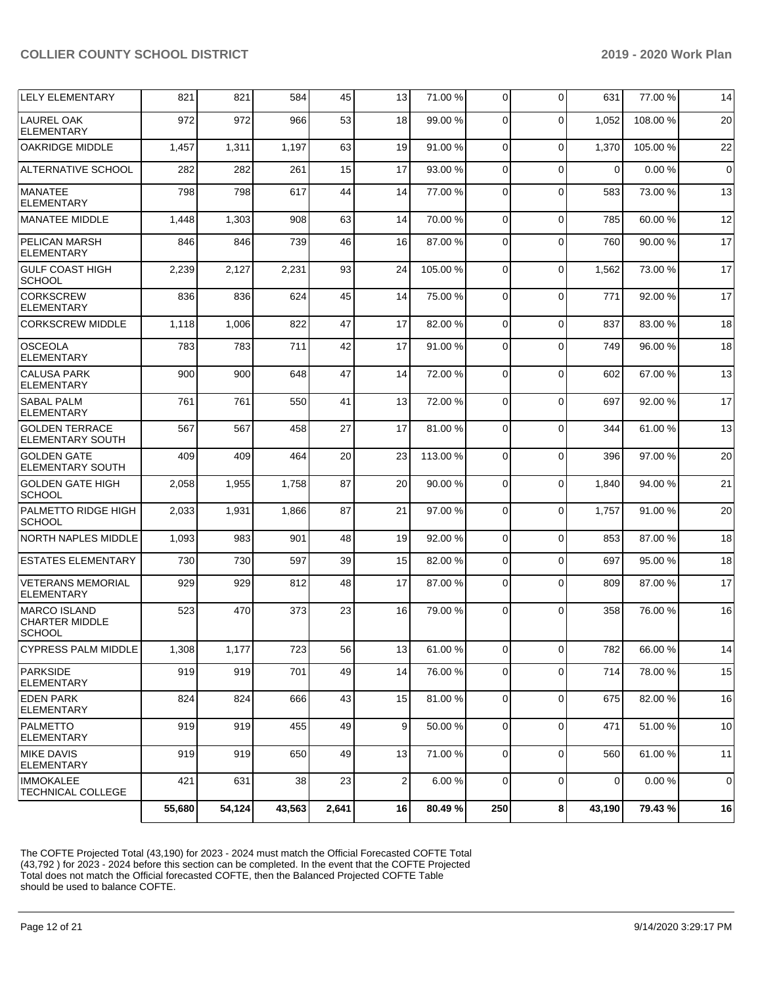| <b>LELY ELEMENTARY</b>                                        | 821    | 821    | 584    | 45    | 13              | 71.00 %  | $\Omega$     | 0           | 631         | 77.00 %  | 14             |
|---------------------------------------------------------------|--------|--------|--------|-------|-----------------|----------|--------------|-------------|-------------|----------|----------------|
| LAUREL OAK<br><b>ELEMENTARY</b>                               | 972    | 972    | 966    | 53    | 18              | 99.00 %  | $\Omega$     | 0           | 1,052       | 108.00 % | 20             |
| <b>OAKRIDGE MIDDLE</b>                                        | 1,457  | 1,311  | 1,197  | 63    | 19              | 91.00 %  | $\Omega$     | $\Omega$    | 1,370       | 105.00 % | 22             |
| <b>ALTERNATIVE SCHOOL</b>                                     | 282    | 282    | 261    | 15    | 17              | 93.00 %  | $\Omega$     | $\Omega$    | $\Omega$    | 0.00%    | $\overline{0}$ |
| <b>MANATEE</b><br><b>ELEMENTARY</b>                           | 798    | 798    | 617    | 44    | 14              | 77.00 %  | $\Omega$     | $\Omega$    | 583         | 73.00 %  | 13             |
| <b>MANATEE MIDDLE</b>                                         | 1,448  | 1,303  | 908    | 63    | 14              | 70.00%   | $\Omega$     | $\Omega$    | 785         | 60.00 %  | 12             |
| PELICAN MARSH<br><b>ELEMENTARY</b>                            | 846    | 846    | 739    | 46    | 16              | 87.00 %  | $\Omega$     | $\Omega$    | 760         | 90.00 %  | 17             |
| <b>GULF COAST HIGH</b><br><b>SCHOOL</b>                       | 2,239  | 2,127  | 2,231  | 93    | 24              | 105.00%  | $\Omega$     | $\Omega$    | 1,562       | 73.00 %  | 17             |
| <b>CORKSCREW</b><br><b>ELEMENTARY</b>                         | 836    | 836    | 624    | 45    | 14              | 75.00 %  | $\Omega$     | $\Omega$    | 771         | 92.00 %  | 17             |
| <b>CORKSCREW MIDDLE</b>                                       | 1,118  | 1,006  | 822    | 47    | 17              | 82.00 %  | $\Omega$     | $\Omega$    | 837         | 83.00 %  | 18             |
| <b>OSCEOLA</b><br><b>ELEMENTARY</b>                           | 783    | 783    | 711    | 42    | 17              | 91.00 %  | $\Omega$     | $\Omega$    | 749         | 96.00 %  | 18             |
| <b>CALUSA PARK</b><br><b>ELEMENTARY</b>                       | 900    | 900    | 648    | 47    | 14              | 72.00 %  | $\Omega$     | $\Omega$    | 602         | 67.00 %  | 13             |
| <b>SABAL PALM</b><br><b>ELEMENTARY</b>                        | 761    | 761    | 550    | 41    | 13              | 72.00 %  | $\Omega$     | $\Omega$    | 697         | 92.00 %  | 17             |
| <b>GOLDEN TERRACE</b><br>ELEMENTARY SOUTH                     | 567    | 567    | 458    | 27    | 17              | 81.00%   | $\Omega$     | $\Omega$    | 344         | 61.00%   | 13             |
| <b>GOLDEN GATE</b><br>ELEMENTARY SOUTH                        | 409    | 409    | 464    | 20    | 23              | 113.00 % | $\Omega$     | $\Omega$    | 396         | 97.00 %  | 20             |
| <b>GOLDEN GATE HIGH</b><br><b>SCHOOL</b>                      | 2,058  | 1,955  | 1,758  | 87    | 20              | 90.00 %  | $\Omega$     | $\Omega$    | 1,840       | 94.00 %  | 21             |
| PALMETTO RIDGE HIGH<br>SCHOOL                                 | 2,033  | 1,931  | 1,866  | 87    | 21              | 97.00 %  | $\Omega$     | $\Omega$    | 1.757       | 91.00 %  | 20             |
| <b>NORTH NAPLES MIDDLE</b>                                    | 1,093  | 983    | 901    | 48    | 19              | 92.00 %  | $\Omega$     | 0           | 853         | 87.00 %  | 18             |
| <b>ESTATES ELEMENTARY</b>                                     | 730    | 730    | 597    | 39    | 15              | 82.00 %  | $\Omega$     | 0           | 697         | 95.00 %  | 18             |
| <b>VETERANS MEMORIAL</b><br><b>ELEMENTARY</b>                 | 929    | 929    | 812    | 48    | 17              | 87.00 %  | $\Omega$     | $\Omega$    | 809         | 87.00 %  | 17             |
| <b>MARCO ISLAND</b><br><b>CHARTER MIDDLE</b><br><b>SCHOOL</b> | 523    | 470    | 373    | 23    | 16              | 79.00 %  | $\Omega$     | $\Omega$    | 358         | 76.00 %  | 16             |
| <b>CYPRESS PALM MIDDLE</b>                                    | 1,308  | 1,177  | 723    | 56    | 13              | 61.00%   | υı           | υı          | 782         | 66.00%   | 14             |
| <b>PARKSIDE</b><br><b>ELEMENTARY</b>                          | 919    | 919    | 701    | 49    | 14              | 76.00 %  | $\Omega$     | 0           | 714         | 78.00%   | 15             |
| <b>EDEN PARK</b><br>ELEMENTARY                                | 824    | 824    | 666    | 43    | 15 <sup>1</sup> | 81.00 %  | $\mathbf{0}$ | 0           | 675         | 82.00 %  | 16             |
| PALMETTO<br><b>ELEMENTARY</b>                                 | 919    | 919    | 455    | 49    | 9               | 50.00 %  | 0            | $\mathbf 0$ | 471         | 51.00 %  | 10             |
| <b>MIKE DAVIS</b><br><b>ELEMENTARY</b>                        | 919    | 919    | 650    | 49    | 13              | 71.00 %  | $\Omega$     | 0           | 560         | 61.00 %  | 11             |
| <b>IMMOKALEE</b><br><b>TECHNICAL COLLEGE</b>                  | 421    | 631    | 38     | 23    | $\overline{2}$  | 6.00 %   | $\Omega$     | 0           | $\mathbf 0$ | 0.00 %   | $\overline{0}$ |
|                                                               | 55,680 | 54,124 | 43,563 | 2,641 | 16              | 80.49%   | 250          | 8           | 43,190      | 79.43 %  | 16             |

The COFTE Projected Total (43,190) for 2023 - 2024 must match the Official Forecasted COFTE Total (43,792 ) for 2023 - 2024 before this section can be completed. In the event that the COFTE Projected Total does not match the Official forecasted COFTE, then the Balanced Projected COFTE Table should be used to balance COFTE.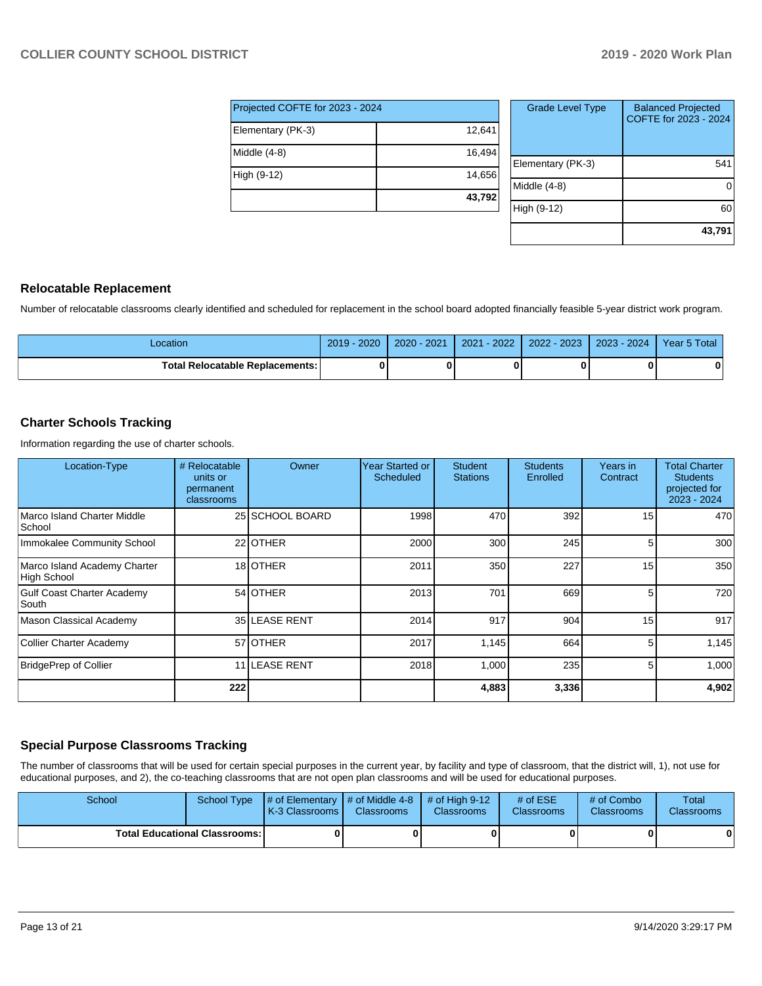| Projected COFTE for 2023 - 2024 |        |  |  |  |  |  |
|---------------------------------|--------|--|--|--|--|--|
| Elementary (PK-3)               | 12,641 |  |  |  |  |  |
| Middle $(4-8)$                  | 16,494 |  |  |  |  |  |
| High (9-12)                     | 14,656 |  |  |  |  |  |
|                                 | 43,792 |  |  |  |  |  |

| <b>Grade Level Type</b> | <b>Balanced Projected</b><br>COFTE for 2023 - 2024 |
|-------------------------|----------------------------------------------------|
| Elementary (PK-3)       | 541                                                |
| Middle $(4-8)$          |                                                    |
| High (9-12)             | 60                                                 |
|                         | 43.791                                             |

#### **Relocatable Replacement**

Number of relocatable classrooms clearly identified and scheduled for replacement in the school board adopted financially feasible 5-year district work program.

| -ocation                                 | 2020<br>2019 | $2020 - 2021$ | $-2022$<br>2021 | 2022 - 2023 | 2023 - 2024 | Year 5 Total |
|------------------------------------------|--------------|---------------|-----------------|-------------|-------------|--------------|
| <b>Total Relocatable Replacements: I</b> |              |               |                 |             |             |              |

#### **Charter Schools Tracking**

Information regarding the use of charter schools.

| Location-Type                                      | # Relocatable<br>units or<br>permanent<br>classrooms | Owner           | <b>Year Started or</b><br>Scheduled | <b>Student</b><br><b>Stations</b> | <b>Students</b><br>Enrolled | Years in<br>Contract | <b>Total Charter</b><br><b>Students</b><br>projected for<br>2023 - 2024 |
|----------------------------------------------------|------------------------------------------------------|-----------------|-------------------------------------|-----------------------------------|-----------------------------|----------------------|-------------------------------------------------------------------------|
| Marco Island Charter Middle<br>School              |                                                      | 25 SCHOOL BOARD | 1998                                | 470                               | 392                         | 15                   | 470                                                                     |
| Immokalee Community School                         |                                                      | 22 OTHER        | 2000                                | 300                               | 245                         | 5                    | 300                                                                     |
| Marco Island Academy Charter<br><b>High School</b> |                                                      | 18 OTHER        | 2011                                | 350                               | 227                         | 15                   | 350                                                                     |
| <b>Gulf Coast Charter Academy</b><br>South         |                                                      | 54 OTHER        | 2013                                | 701                               | 669                         | 5                    | 720                                                                     |
| Mason Classical Academy                            |                                                      | 35 LEASE RENT   | 2014                                | 917                               | 904                         | 15                   | 917                                                                     |
| Collier Charter Academy                            |                                                      | 57 OTHER        | 2017                                | 1,145                             | 664                         | 5                    | 1,145                                                                   |
| BridgePrep of Collier                              |                                                      | 11 LEASE RENT   | 2018                                | 1,000                             | 235                         | 5 <sub>l</sub>       | 1,000                                                                   |
|                                                    | 222                                                  |                 |                                     | 4,883                             | 3,336                       |                      | 4,902                                                                   |

## **Special Purpose Classrooms Tracking**

The number of classrooms that will be used for certain special purposes in the current year, by facility and type of classroom, that the district will, 1), not use for educational purposes, and 2), the co-teaching classrooms that are not open plan classrooms and will be used for educational purposes.

| School                                 |  | School Type $\parallel \#$ of Elementary $\parallel \#$ of Middle 4-8 $\parallel \#$ of High 9-12<br>K-3 Classrooms I | <b>Classrooms</b> | <b>Classrooms</b> | # of $ESE$<br><b>Classrooms</b> | # of Combo<br><b>Classrooms</b> | Total<br><b>Classrooms</b> |
|----------------------------------------|--|-----------------------------------------------------------------------------------------------------------------------|-------------------|-------------------|---------------------------------|---------------------------------|----------------------------|
| <b>Total Educational Classrooms: I</b> |  |                                                                                                                       |                   |                   |                                 |                                 | 0                          |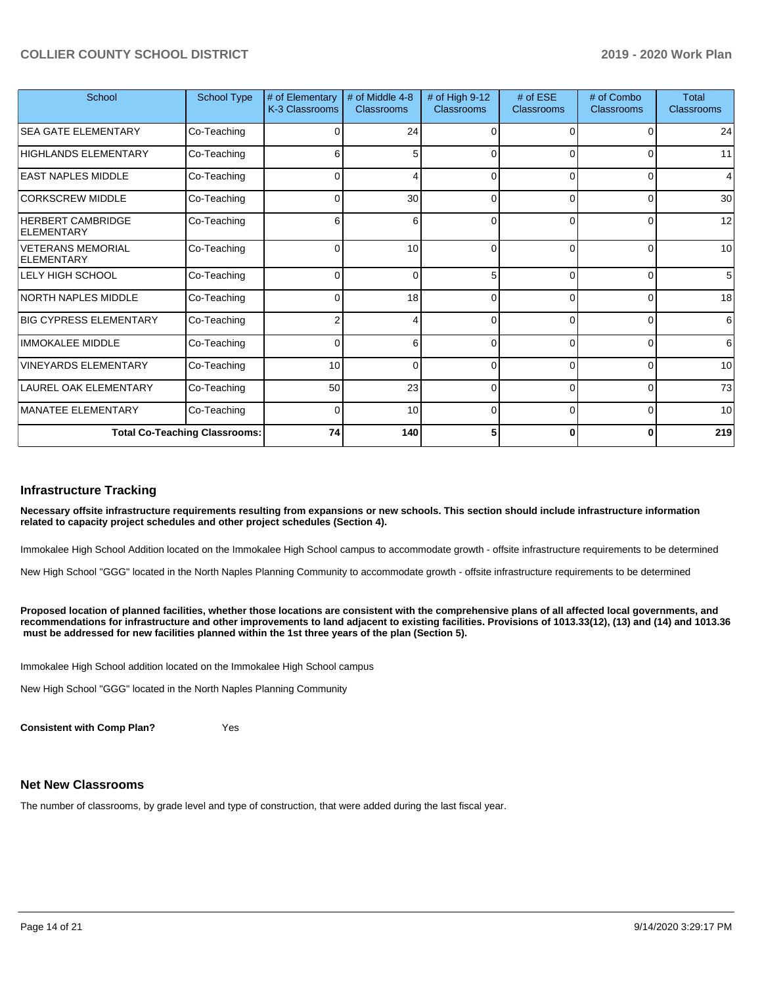| School                                        | <b>School Type</b> | # of Elementary<br>K-3 Classrooms | # of Middle 4-8<br><b>Classrooms</b> | # of High 9-12<br>Classrooms | # of ESE<br><b>Classrooms</b> | # of Combo<br><b>Classrooms</b> | <b>Total</b><br><b>Classrooms</b> |
|-----------------------------------------------|--------------------|-----------------------------------|--------------------------------------|------------------------------|-------------------------------|---------------------------------|-----------------------------------|
| <b>SEA GATE ELEMENTARY</b>                    | Co-Teaching        | $\Omega$                          | 24                                   | $\Omega$                     | 0                             |                                 | 24                                |
| <b>HIGHLANDS ELEMENTARY</b>                   | Co-Teaching        | 6                                 | 5                                    | 0                            | $\Omega$                      | 0                               | 11                                |
| <b>EAST NAPLES MIDDLE</b>                     | Co-Teaching        | 0                                 | 4                                    | 0                            | 0                             | 0                               | 4                                 |
| <b>CORKSCREW MIDDLE</b>                       | Co-Teaching        | 0                                 | 30                                   | $\Omega$                     | $\Omega$                      | $\Omega$                        | 30                                |
| <b>HERBERT CAMBRIDGE</b><br><b>ELEMENTARY</b> | Co-Teaching        | 6                                 | 6                                    | 0                            | $\Omega$                      | 0                               | 12                                |
| <b>VETERANS MEMORIAL</b><br><b>ELEMENTARY</b> | Co-Teaching        | $\Omega$                          | 10                                   | 0                            | $\Omega$                      | $\Omega$                        | 10                                |
| <b>LELY HIGH SCHOOL</b>                       | Co-Teaching        | $\Omega$                          | $\Omega$                             | 5                            | $\Omega$                      | $\Omega$                        | 5                                 |
| <b>NORTH NAPLES MIDDLE</b>                    | Co-Teaching        | 0                                 | 18                                   | 0                            | $\overline{0}$                | 0                               | 18                                |
| <b>BIG CYPRESS ELEMENTARY</b>                 | Co-Teaching        | ົ                                 | 4                                    | 0                            | $\Omega$                      | $\Omega$                        | 6                                 |
| <b>IMMOKALEE MIDDLE</b>                       | Co-Teaching        | O                                 | 6                                    | $\Omega$                     | $\Omega$                      | O                               | 6                                 |
| <b>VINEYARDS ELEMENTARY</b>                   | Co-Teaching        | 10                                | $\Omega$                             | 0                            | $\overline{0}$                | 0                               | 10                                |
| <b>LAUREL OAK ELEMENTARY</b>                  | Co-Teaching        | 50                                | 23                                   | $\Omega$                     | $\Omega$                      | $\Omega$                        | 73                                |
| <b>MANATEE ELEMENTARY</b>                     | Co-Teaching        | $\Omega$                          | 10                                   | $\Omega$                     | $\Omega$                      | 0                               | 10                                |
| <b>Total Co-Teaching Classrooms:</b>          |                    | 74                                | 140                                  | 5                            | $\bf{0}$                      | 0                               | 219                               |

#### **Infrastructure Tracking**

**Necessary offsite infrastructure requirements resulting from expansions or new schools. This section should include infrastructure information related to capacity project schedules and other project schedules (Section 4).** 

Immokalee High School Addition located on the Immokalee High School campus to accommodate growth - offsite infrastructure requirements to be determined

New High School "GGG" located in the North Naples Planning Community to accommodate growth - offsite infrastructure requirements to be determined

**Proposed location of planned facilities, whether those locations are consistent with the comprehensive plans of all affected local governments, and recommendations for infrastructure and other improvements to land adjacent to existing facilities. Provisions of 1013.33(12), (13) and (14) and 1013.36 must be addressed for new facilities planned within the 1st three years of the plan (Section 5).** 

Immokalee High School addition located on the Immokalee High School campus

New High School "GGG" located in the North Naples Planning Community

**Consistent with Comp Plan?** Yes

#### **Net New Classrooms**

The number of classrooms, by grade level and type of construction, that were added during the last fiscal year.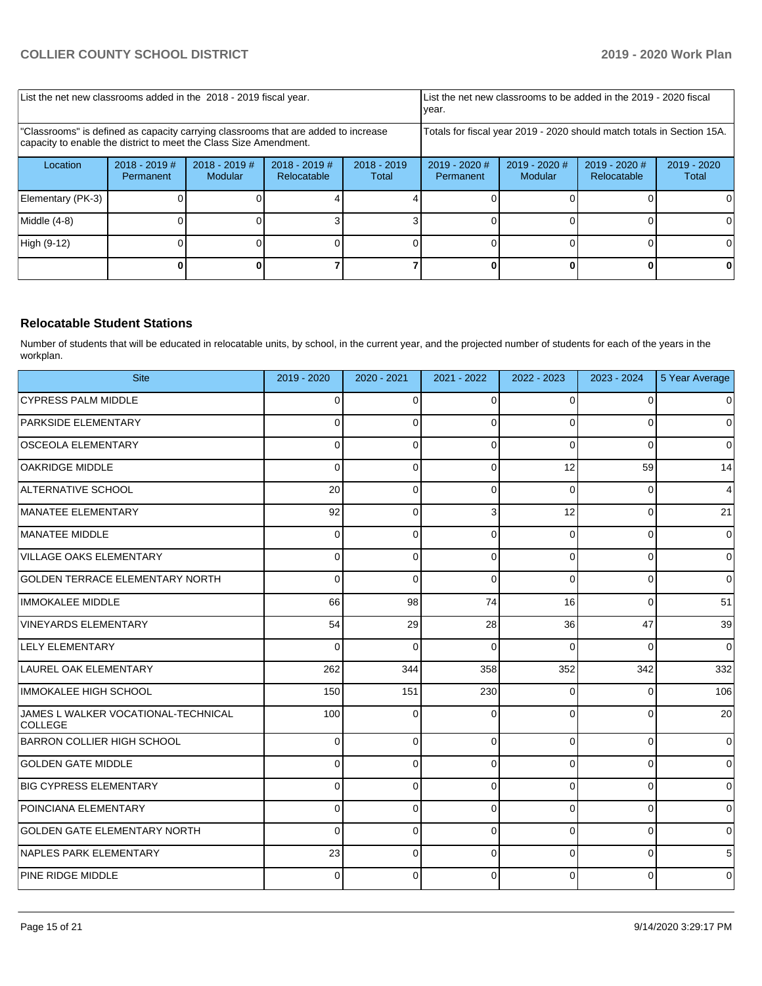| List the net new classrooms added in the 2018 - 2019 fiscal year.                                                                                       |                              |                            |                                                                        |                        | year.                        | List the net new classrooms to be added in the 2019 - 2020 fiscal |                                |                        |
|---------------------------------------------------------------------------------------------------------------------------------------------------------|------------------------------|----------------------------|------------------------------------------------------------------------|------------------------|------------------------------|-------------------------------------------------------------------|--------------------------------|------------------------|
| "Classrooms" is defined as capacity carrying classrooms that are added to increase<br>capacity to enable the district to meet the Class Size Amendment. |                              |                            | Totals for fiscal year 2019 - 2020 should match totals in Section 15A. |                        |                              |                                                                   |                                |                        |
| Location                                                                                                                                                | $2018 - 2019$ #<br>Permanent | $2018 - 2019$ #<br>Modular | $2018 - 2019$ #<br>Relocatable                                         | $2018 - 2019$<br>Total | $2019 - 2020$ #<br>Permanent | $2019 - 2020$ #<br>Modular                                        | $2019 - 2020$ #<br>Relocatable | $2019 - 2020$<br>Total |
| Elementary (PK-3)                                                                                                                                       |                              |                            |                                                                        |                        |                              |                                                                   |                                |                        |
| Middle (4-8)                                                                                                                                            |                              |                            |                                                                        |                        |                              |                                                                   |                                |                        |
| High (9-12)                                                                                                                                             |                              |                            |                                                                        |                        |                              |                                                                   |                                | ΩI                     |
|                                                                                                                                                         |                              |                            |                                                                        |                        |                              |                                                                   |                                |                        |

### **Relocatable Student Stations**

Number of students that will be educated in relocatable units, by school, in the current year, and the projected number of students for each of the years in the workplan.

| <b>Site</b>                                           | 2019 - 2020 | 2020 - 2021 | 2021 - 2022 | 2022 - 2023 | 2023 - 2024 | 5 Year Average |
|-------------------------------------------------------|-------------|-------------|-------------|-------------|-------------|----------------|
| <b>CYPRESS PALM MIDDLE</b>                            | $\Omega$    | $\Omega$    | $\Omega$    | $\Omega$    | $\Omega$    | $\mathbf 0$    |
| <b>PARKSIDE ELEMENTARY</b>                            | 0           | 0           | $\Omega$    | $\Omega$    | 0           | $\Omega$       |
| <b>OSCEOLA ELEMENTARY</b>                             | 0           | 0           | $\Omega$    | 0           | $\Omega$    | $\Omega$       |
| <b>OAKRIDGE MIDDLE</b>                                | 0           | 0           | $\Omega$    | 12          | 59          | 14             |
| ALTERNATIVE SCHOOL                                    | 20          | 0           | $\Omega$    | 0           | 0           | $\overline{4}$ |
| MANATEE ELEMENTARY                                    | 92          | $\Omega$    | 3           | 12          | $\Omega$    | 21             |
| MANATEE MIDDLE                                        | 0           | 0           | $\Omega$    | $\Omega$    | 0           | $\mathbf 0$    |
| <b>VILLAGE OAKS ELEMENTARY</b>                        | 0           | 0           | $\Omega$    | 0           | 0           | $\mathbf 0$    |
| <b>GOLDEN TERRACE ELEMENTARY NORTH</b>                | 0           | 0           | $\Omega$    | $\mathbf 0$ | 0           | $\mathbf 0$    |
| <b>IMMOKALEE MIDDLE</b>                               | 66          | 98          | 74          | 16          | $\Omega$    | 51             |
| <b>VINEYARDS ELEMENTARY</b>                           | 54          | 29          | 28          | 36          | 47          | 39             |
| <b>LELY ELEMENTARY</b>                                | 0           | $\Omega$    | $\Omega$    | 0           | $\Omega$    | $\mathbf 0$    |
| LAUREL OAK ELEMENTARY                                 | 262         | 344         | 358         | 352         | 342         | 332            |
| IMMOKALEE HIGH SCHOOL                                 | 150         | 151         | 230         | 0           | 0           | 106            |
| JAMES L WALKER VOCATIONAL-TECHNICAL<br><b>COLLEGE</b> | 100         | 0           | $\Omega$    | 0           | 0           | 20             |
| <b>BARRON COLLIER HIGH SCHOOL</b>                     | 0           | 0           | $\Omega$    | 0           | 0           | $\mathbf 0$    |
| <b>GOLDEN GATE MIDDLE</b>                             | 0           | $\Omega$    | $\Omega$    | 0           | 0           | $\mathbf 0$    |
| <b>BIG CYPRESS ELEMENTARY</b>                         | 0           | 0           | $\Omega$    | 0           | 0           | $\pmb{0}$      |
| POINCIANA ELEMENTARY                                  | 0           | 0           | $\Omega$    | 0           | 0           | 0              |
| <b>GOLDEN GATE ELEMENTARY NORTH</b>                   | 0           | 0           | $\mathbf 0$ | 0           | 0           | $\mathbf 0$    |
| NAPLES PARK ELEMENTARY                                | 23          | 0           | $\Omega$    | 0           | 0           | 5              |
| <b>PINE RIDGE MIDDLE</b>                              | 0           | 0           | $\Omega$    | 0           | 0           | $\mathbf 0$    |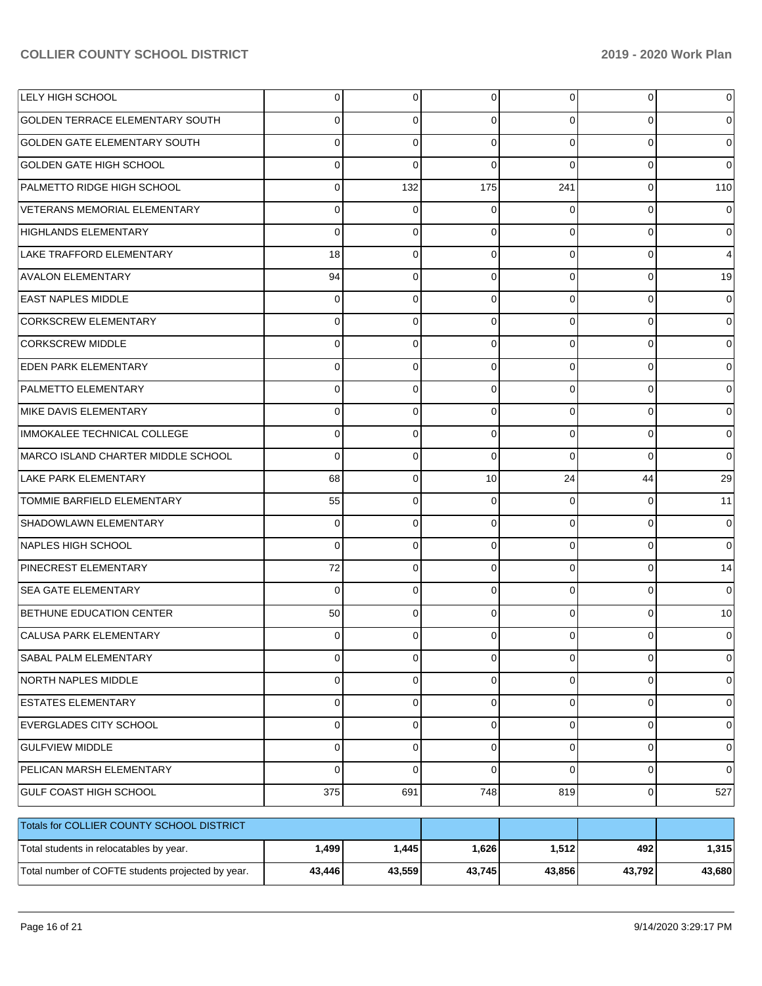| LELY HIGH SCHOOL                                  | $\Omega$       | 0           | 0           | $\overline{0}$ | 0           | $\Omega$        |
|---------------------------------------------------|----------------|-------------|-------------|----------------|-------------|-----------------|
| <b>GOLDEN TERRACE ELEMENTARY SOUTH</b>            | 0              | 0           | 0           | $\Omega$       | 0           | 0               |
| <b>GOLDEN GATE ELEMENTARY SOUTH</b>               | 0              | $\Omega$    | 0           | $\Omega$       | $\Omega$    | $\Omega$        |
| <b>GOLDEN GATE HIGH SCHOOL</b>                    | 0              | $\Omega$    | 0           | $\Omega$       | $\Omega$    | 0               |
| PALMETTO RIDGE HIGH SCHOOL                        | 0              | 132         | 175         | 241            | $\Omega$    | 110             |
| VETERANS MEMORIAL ELEMENTARY                      | 0              | 0           | 0           | $\Omega$       | $\Omega$    | 0               |
| <b>HIGHLANDS ELEMENTARY</b>                       | 0              | $\Omega$    | 0           | $\Omega$       | $\Omega$    | 0               |
| LAKE TRAFFORD ELEMENTARY                          | 18             | 0           | 0           | $\Omega$       | $\Omega$    | 4               |
| <b>AVALON ELEMENTARY</b>                          | 94             | $\mathbf 0$ | $\Omega$    | $\Omega$       | $\Omega$    | 19              |
| <b>EAST NAPLES MIDDLE</b>                         | $\Omega$       | $\mathbf 0$ | 0           | $\Omega$       | $\Omega$    | 0               |
| CORKSCREW ELEMENTARY                              | 0              | $\Omega$    | $\Omega$    | $\Omega$       | $\Omega$    | $\Omega$        |
| <b>CORKSCREW MIDDLE</b>                           | 0              | $\mathbf 0$ | 0           | $\Omega$       | $\Omega$    | 0               |
| <b>EDEN PARK ELEMENTARY</b>                       | 0              | $\Omega$    | $\Omega$    | $\Omega$       | $\Omega$    | 0               |
| <b>PALMETTO ELEMENTARY</b>                        | 0              | $\mathbf 0$ | 0           | $\Omega$       | $\Omega$    | 0               |
| MIKE DAVIS ELEMENTARY                             | 0              | $\Omega$    | 0           | $\Omega$       | $\Omega$    | $\Omega$        |
| IMMOKALEE TECHNICAL COLLEGE                       | 0              | $\mathbf 0$ | 0           | $\Omega$       | $\Omega$    | 0               |
| MARCO ISLAND CHARTER MIDDLE SCHOOL                | 0              | $\Omega$    | 0           | $\Omega$       | $\Omega$    | 0               |
| LAKE PARK ELEMENTARY                              | 68             | $\mathbf 0$ | 10          | 24             | 44          | 29              |
| TOMMIE BARFIELD ELEMENTARY                        | 55             | 0           | 0           | $\Omega$       | $\Omega$    | 11              |
| SHADOWLAWN ELEMENTARY                             | $\Omega$       | $\mathbf 0$ | 0           | $\Omega$       | $\Omega$    | 0               |
| NAPLES HIGH SCHOOL                                | 0              | $\Omega$    | 0           | $\Omega$       | $\Omega$    | $\Omega$        |
| <b>PINECREST ELEMENTARY</b>                       | 72             | $\mathbf 0$ | 0           | $\Omega$       | $\Omega$    | 14              |
| <b>SEA GATE ELEMENTARY</b>                        | $\Omega$       | $\Omega$    | $\Omega$    | $\Omega$       | $\Omega$    | $\Omega$        |
| <b>BETHUNE EDUCATION CENTER</b>                   | 50             | $\Omega$    | $\Omega$    | $\Omega$       | $\Omega$    | 10 <sup>1</sup> |
| CALUSA PARK ELEMENTARY                            | 0              | 0           |             | ΩI             | $\Omega$    | 0               |
| SABAL PALM ELEMENTARY                             | $\overline{0}$ | 0           | 0           | $\overline{0}$ | 0           | $\overline{0}$  |
| <b>NORTH NAPLES MIDDLE</b>                        | $\overline{0}$ | $\mathbf 0$ | 0           | $\overline{0}$ | $\mathbf 0$ | $\overline{0}$  |
| <b>ESTATES ELEMENTARY</b>                         | $\overline{0}$ | $\mathbf 0$ | 0           | $\overline{0}$ | 0           | 0               |
| EVERGLADES CITY SCHOOL                            | $\overline{0}$ | $\mathbf 0$ | 0           | $\overline{0}$ | 0           | 0               |
| <b>GULFVIEW MIDDLE</b>                            | 0              | $\mathbf 0$ | 0           | $\overline{0}$ | 0           | 0               |
| PELICAN MARSH ELEMENTARY                          | $\Omega$       | $\mathbf 0$ | $\mathbf 0$ | $\Omega$       | 0           | $\overline{0}$  |
| GULF COAST HIGH SCHOOL                            | 375            | 691         | 748         | 819            | $\mathbf 0$ | 527             |
| Totals for COLLIER COUNTY SCHOOL DISTRICT         |                |             |             |                |             |                 |
| Total students in relocatables by year.           | 1,499          | 1,445       | 1,626       | 1,512          | 492         | 1,315           |
| Total number of COFTE students projected by year. | 43,446         | 43,559      | 43,745      | 43,856         | 43,792      | 43,680          |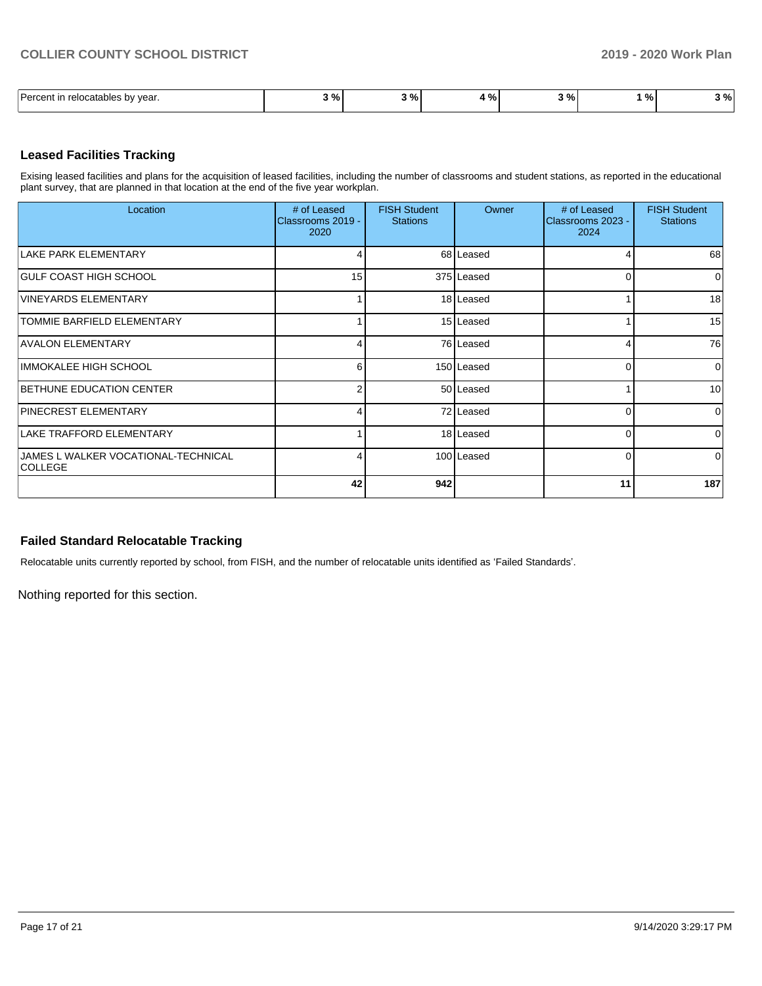| Darcont<br>vear.<br>relocatables<br>, bv | $\sim$ 0/<br>,,,, | $\ddot{\phantom{1}}$<br>7٥<br>- 1 | - 01<br>. . | _<br>-റെ<br><b>70 L</b> | $\mathbf{a}$<br>7٥ | ၊ % |
|------------------------------------------|-------------------|-----------------------------------|-------------|-------------------------|--------------------|-----|

### **Leased Facilities Tracking**

Exising leased facilities and plans for the acquisition of leased facilities, including the number of classrooms and student stations, as reported in the educational plant survey, that are planned in that location at the end of the five year workplan.

| Location                                              | # of Leased<br>Classrooms 2019 -<br>2020 | <b>FISH Student</b><br><b>Stations</b> | Owner      | # of Leased<br>Classrooms 2023 -<br>2024 | <b>FISH Student</b><br><b>Stations</b> |
|-------------------------------------------------------|------------------------------------------|----------------------------------------|------------|------------------------------------------|----------------------------------------|
| LAKE PARK ELEMENTARY                                  |                                          |                                        | 68 Leased  | 4                                        | 68                                     |
| GULF COAST HIGH SCHOOL                                | 15                                       |                                        | 375 Leased | $\Omega$                                 | $\Omega$                               |
| <b>VINEYARDS ELEMENTARY</b>                           |                                          |                                        | 18 Leased  |                                          | 18                                     |
| <b>TOMMIE BARFIELD ELEMENTARY</b>                     |                                          |                                        | 15 Leased  |                                          | 15                                     |
| <b>AVALON ELEMENTARY</b>                              | 4                                        |                                        | 76 Leased  | 4                                        | 76                                     |
| <b>IMMOKALEE HIGH SCHOOL</b>                          | 6                                        |                                        | 150 Leased | $\overline{0}$                           | $\Omega$                               |
| <b>BETHUNE EDUCATION CENTER</b>                       | 2                                        |                                        | 50 Leased  |                                          | 10                                     |
| PINECREST ELEMENTARY                                  |                                          |                                        | 72 Leased  | 0                                        | $\Omega$                               |
| LAKE TRAFFORD ELEMENTARY                              |                                          |                                        | 18 Leased  | $\Omega$                                 | $\Omega$                               |
| JAMES L WALKER VOCATIONAL-TECHNICAL<br><b>COLLEGE</b> | 4                                        |                                        | 100 Leased | $\Omega$                                 | $\Omega$                               |
|                                                       | 42                                       | 942                                    |            | 11                                       | 187                                    |

## **Failed Standard Relocatable Tracking**

Relocatable units currently reported by school, from FISH, and the number of relocatable units identified as 'Failed Standards'.

Nothing reported for this section.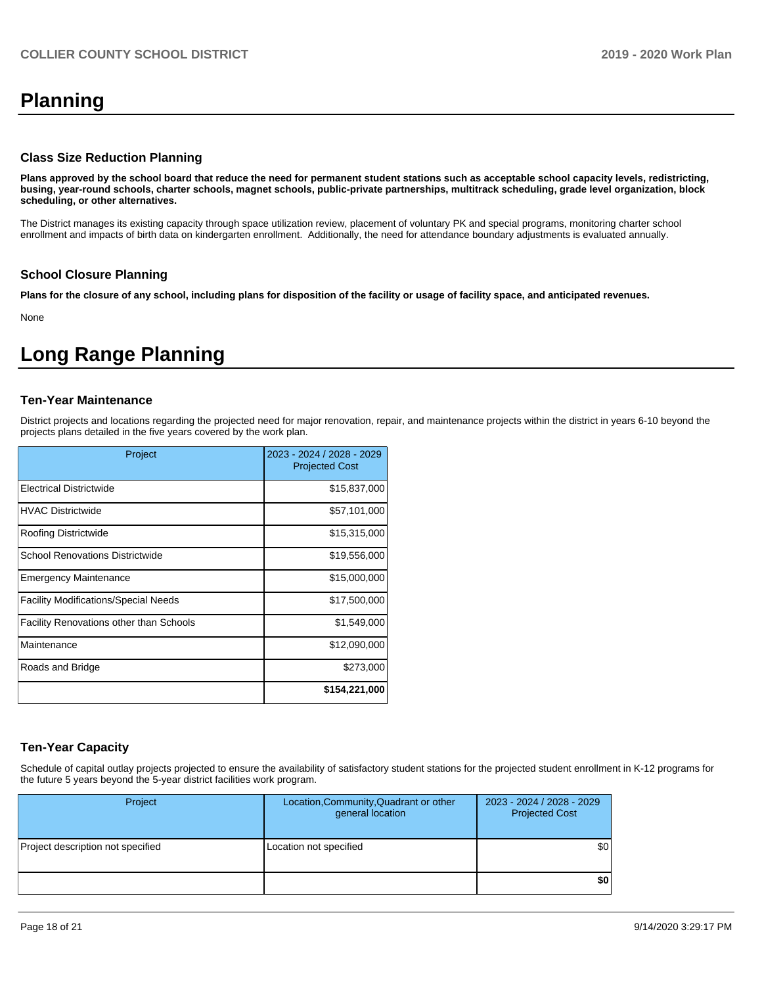# **Planning**

#### **Class Size Reduction Planning**

**Plans approved by the school board that reduce the need for permanent student stations such as acceptable school capacity levels, redistricting, busing, year-round schools, charter schools, magnet schools, public-private partnerships, multitrack scheduling, grade level organization, block scheduling, or other alternatives.**

The District manages its existing capacity through space utilization review, placement of voluntary PK and special programs, monitoring charter school enrollment and impacts of birth data on kindergarten enrollment. Additionally, the need for attendance boundary adjustments is evaluated annually.

#### **School Closure Planning**

**Plans for the closure of any school, including plans for disposition of the facility or usage of facility space, and anticipated revenues.** 

None

# **Long Range Planning**

#### **Ten-Year Maintenance**

District projects and locations regarding the projected need for major renovation, repair, and maintenance projects within the district in years 6-10 beyond the projects plans detailed in the five years covered by the work plan.

| Project                                        | 2023 - 2024 / 2028 - 2029<br><b>Projected Cost</b> |
|------------------------------------------------|----------------------------------------------------|
| Electrical Districtwide                        | \$15,837,000                                       |
| <b>HVAC Districtwide</b>                       | \$57,101,000                                       |
| Roofing Districtwide                           | \$15,315,000                                       |
| <b>School Renovations Districtwide</b>         | \$19,556,000                                       |
| <b>Emergency Maintenance</b>                   | \$15,000,000                                       |
| <b>Facility Modifications/Special Needs</b>    | \$17,500,000                                       |
| <b>Facility Renovations other than Schools</b> | \$1,549,000                                        |
| Maintenance                                    | \$12,090,000                                       |
| Roads and Bridge                               | \$273,000                                          |
|                                                | \$154,221,000                                      |

## **Ten-Year Capacity**

Schedule of capital outlay projects projected to ensure the availability of satisfactory student stations for the projected student enrollment in K-12 programs for the future 5 years beyond the 5-year district facilities work program.

| Project                           | Location, Community, Quadrant or other<br>general location | 2023 - 2024 / 2028 - 2029<br><b>Projected Cost</b> |
|-----------------------------------|------------------------------------------------------------|----------------------------------------------------|
| Project description not specified | Location not specified                                     | \$0                                                |
|                                   |                                                            | \$0                                                |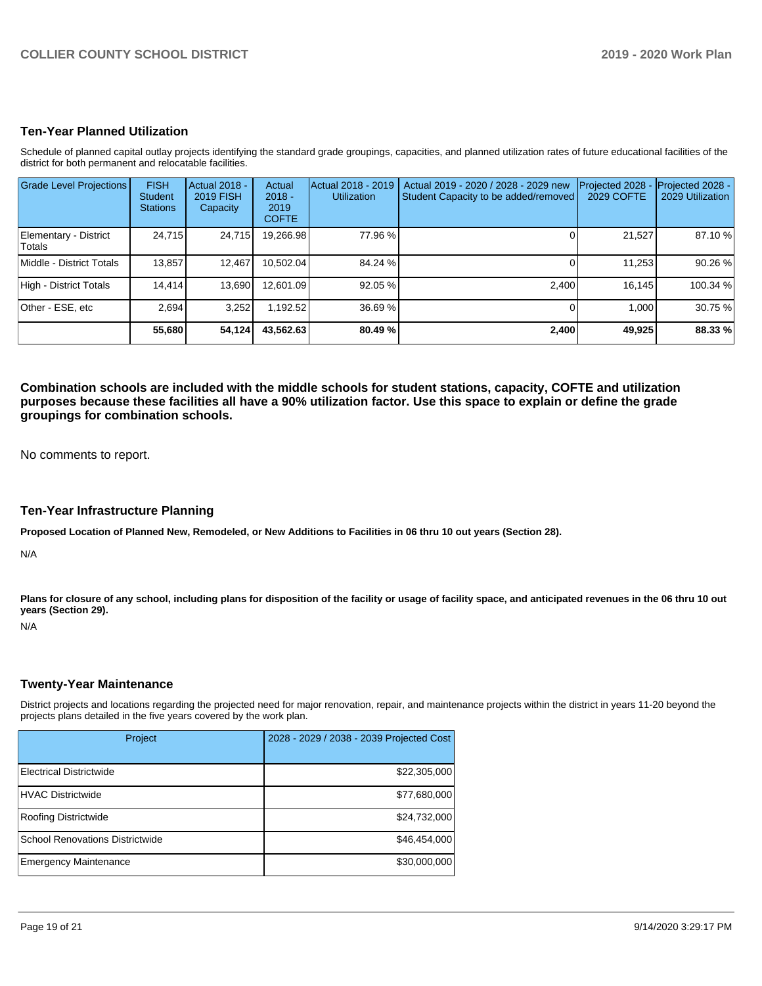## **Ten-Year Planned Utilization**

Schedule of planned capital outlay projects identifying the standard grade groupings, capacities, and planned utilization rates of future educational facilities of the district for both permanent and relocatable facilities.

| <b>Grade Level Projections</b>   | <b>FISH</b><br><b>Student</b><br><b>Stations</b> | Actual 2018 -<br><b>2019 FISH</b><br>Capacity | Actual<br>$2018 -$<br>2019<br><b>COFTE</b> | Actual 2018 - 2019<br><b>Utilization</b> | Actual 2019 - 2020 / 2028 - 2029 new<br>Student Capacity to be added/removed | Projected 2028<br>2029 COFTE | Projected 2028 -<br>2029 Utilization |
|----------------------------------|--------------------------------------------------|-----------------------------------------------|--------------------------------------------|------------------------------------------|------------------------------------------------------------------------------|------------------------------|--------------------------------------|
| Elementary - District<br>lTotals | 24,715                                           | 24,715                                        | 19,266.98                                  | 77.96 %                                  |                                                                              | 21,527                       | 87.10 %                              |
| Middle - District Totals         | 13.857                                           | 12.467                                        | 10.502.04                                  | 84.24 %                                  |                                                                              | 11,253                       | 90.26 %                              |
| High - District Totals           | 14,414                                           | 13.690                                        | 12.601.09                                  | 92.05 %                                  | 2.400                                                                        | 16.145                       | 100.34 %                             |
| Other - ESE. etc                 | 2.694                                            | 3,252                                         | 1.192.52                                   | 36.69 %                                  |                                                                              | 1.000                        | 30.75 %                              |
|                                  | 55,680                                           | 54,124                                        | 43,562.63                                  | 80.49 %                                  | 2,400                                                                        | 49,925                       | 88.33 %                              |

**Combination schools are included with the middle schools for student stations, capacity, COFTE and utilization purposes because these facilities all have a 90% utilization factor. Use this space to explain or define the grade groupings for combination schools.** 

No comments to report.

#### **Ten-Year Infrastructure Planning**

**Proposed Location of Planned New, Remodeled, or New Additions to Facilities in 06 thru 10 out years (Section 28).**

N/A

Plans for closure of any school, including plans for disposition of the facility or usage of facility space, and anticipated revenues in the 06 thru 10 out **years (Section 29).**

N/A

#### **Twenty-Year Maintenance**

District projects and locations regarding the projected need for major renovation, repair, and maintenance projects within the district in years 11-20 beyond the projects plans detailed in the five years covered by the work plan.

| Project                         | 2028 - 2029 / 2038 - 2039 Projected Cost |
|---------------------------------|------------------------------------------|
| Electrical Districtwide         | \$22,305,000                             |
| HVAC Districtwide               | \$77,680,000                             |
| Roofing Districtwide            | \$24,732,000                             |
| School Renovations Districtwide | \$46,454,000                             |
| <b>Emergency Maintenance</b>    | \$30,000,000                             |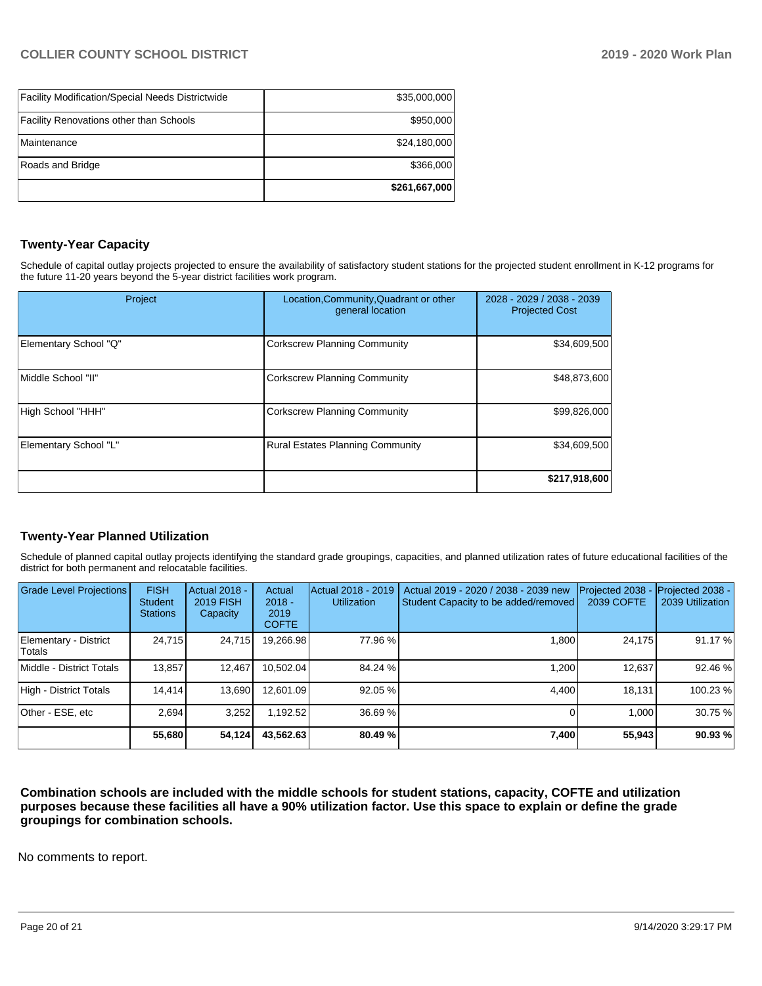| <b>Facility Modification/Special Needs Districtwide</b> | \$35,000,000  |
|---------------------------------------------------------|---------------|
| Facility Renovations other than Schools                 | \$950,000     |
| Maintenance                                             | \$24,180,000  |
| Roads and Bridge                                        | \$366,000     |
|                                                         | \$261,667,000 |

## **Twenty-Year Capacity**

Schedule of capital outlay projects projected to ensure the availability of satisfactory student stations for the projected student enrollment in K-12 programs for the future 11-20 years beyond the 5-year district facilities work program.

| Project               | Location, Community, Quadrant or other<br>general location | 2028 - 2029 / 2038 - 2039<br><b>Projected Cost</b> |  |
|-----------------------|------------------------------------------------------------|----------------------------------------------------|--|
| Elementary School "Q" | <b>Corkscrew Planning Community</b>                        | \$34,609,500                                       |  |
| Middle School "II"    | <b>Corkscrew Planning Community</b>                        | \$48,873,600                                       |  |
| High School "HHH"     | <b>Corkscrew Planning Community</b>                        | \$99,826,000                                       |  |
| Elementary School "L" | <b>Rural Estates Planning Community</b>                    | \$34,609,500                                       |  |
|                       |                                                            | \$217,918,600                                      |  |

## **Twenty-Year Planned Utilization**

Schedule of planned capital outlay projects identifying the standard grade groupings, capacities, and planned utilization rates of future educational facilities of the district for both permanent and relocatable facilities.

| <b>Grade Level Projections</b>   | <b>FISH</b><br><b>Student</b><br><b>Stations</b> | <b>Actual 2018 -</b><br><b>2019 FISH</b><br>Capacity | Actual<br>$2018 -$<br>2019<br><b>COFTE</b> | Actual 2018 - 2019<br><b>Utilization</b> | Actual 2019 - 2020 / 2038 - 2039 new<br>Student Capacity to be added/removed | Projected 2038<br>2039 COFTE | Projected 2038 -<br>2039 Utilization |
|----------------------------------|--------------------------------------------------|------------------------------------------------------|--------------------------------------------|------------------------------------------|------------------------------------------------------------------------------|------------------------------|--------------------------------------|
| Elementary - District<br> Totals | 24,715                                           | 24,715                                               | 19,266.98                                  | 77.96 %                                  | .800                                                                         | 24,175                       | 91.17%                               |
| Middle - District Totals         | 13.857                                           | 12.467                                               | 10.502.04                                  | 84.24 %                                  | 1.200                                                                        | 12,637                       | 92.46 %                              |
| High - District Totals           | 14.414                                           | 13,690                                               | 12.601.09                                  | 92.05 %                                  | 4.400                                                                        | 18.131                       | 100.23%                              |
| Other - ESE, etc                 | 2.694                                            | 3.252                                                | 1.192.52                                   | 36.69 %                                  |                                                                              | 1.000                        | 30.75 %                              |
|                                  | 55,680                                           | 54,124                                               | 43,562.63                                  | 80.49 %                                  | 7,400                                                                        | 55,943                       | 90.93%                               |

**Combination schools are included with the middle schools for student stations, capacity, COFTE and utilization purposes because these facilities all have a 90% utilization factor. Use this space to explain or define the grade groupings for combination schools.** 

No comments to report.